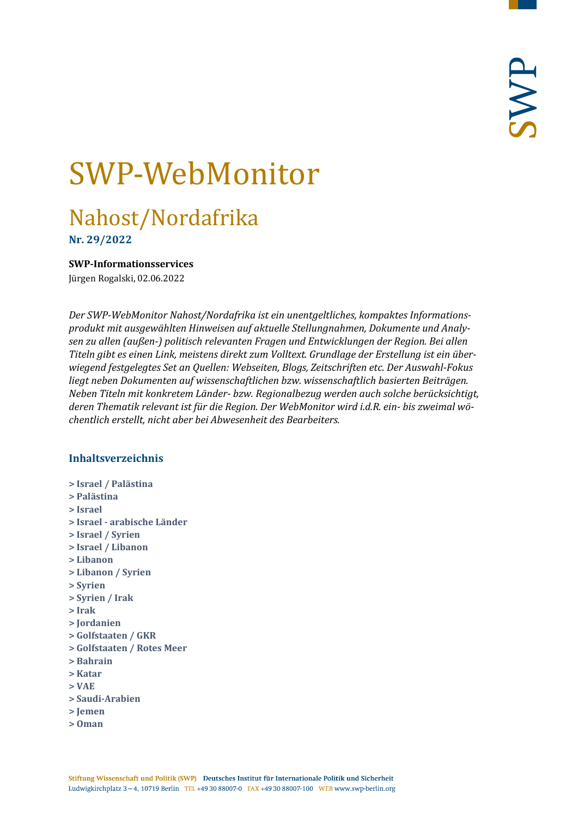# SWP-WebMonitor

## Nahost/Nordafrika

**Nr. 29/2022**

## <span id="page-0-0"></span>**SWP-Informationsservices**

Jürgen Rogalski, 02.06.2022

*Der SWP-WebMonitor Nahost/Nordafrika ist ein unentgeltliches, kompaktes Informationsprodukt mit ausgewählten Hinweisen auf aktuelle Stellungnahmen, Dokumente und Analysen zu allen (außen-) politisch relevanten Fragen und Entwicklungen der Region. Bei allen Titeln gibt es einen Link, meistens direkt zum Volltext. Grundlage der Erstellung ist ein überwiegend festgelegtes Set an Quellen: Webseiten, Blogs, Zeitschriften etc. Der Auswahl-Fokus liegt neben Dokumenten auf wissenschaftlichen bzw. wissenschaftlich basierten Beiträgen. Neben Titeln mit konkretem Länder- bzw. Regionalbezug werden auch solche berücksichtigt, deren Thematik relevant ist für die Region. Der WebMonitor wird i.d.R. ein- bis zweimal wöchentlich erstellt, nicht aber bei Abwesenheit des Bearbeiters.*

## **Inhaltsverzeichnis**

- **[> Israel / Palästina](#page-1-0)**
- **[> Palästina](#page-4-0)**
- **[> Israel](#page-6-0)**
- **> Israel - [arabische Länder](#page-7-0)**
- **[> Israel / Syrien](#page-8-0)**
- **[> Israel / Libanon](#page-8-1)**
- **[> Libanon](#page-8-2)**
- **[> Libanon / Syrien](#page-11-0)**
- **[> Syrien](#page-11-1)**
- **[> Syrien / Irak](#page-14-0)**
- **[> Irak](#page-15-0)**
- **[> Jordanien](#page-17-0)**
- **[> Golfstaaten / GKR](#page-18-0)**
- **[> Golfstaaten / Rotes Meer](#page-19-0)**
- **[> Bahrain](#page-19-1)**
- **[> Katar](#page-19-2)**
- **[> VAE](#page-20-0)**
- **[> Saudi-Arabien](#page-21-0)**
- **[> Jemen](#page-21-1)**
- **[> Oman](#page-23-0)**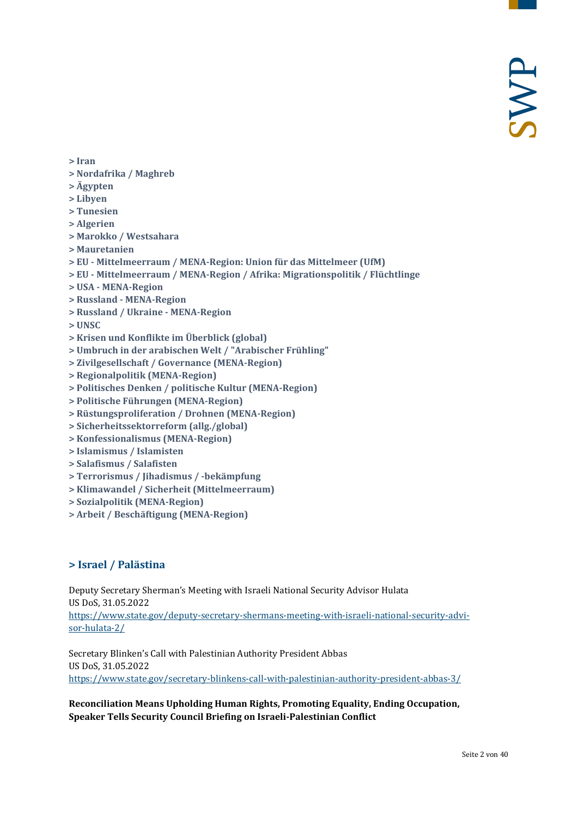- **[> Iran](#page-23-1)**
- **[> Nordafrika / Maghreb](#page-25-0)**
- **[> Ägypten](#page-25-1)**
- **[> Libyen](#page-27-0)**
- **[> Tunesien](#page-29-0)**
- **[> Algerien](#page-30-0)**
- **[> Marokko / Westsahara](#page-31-0)**
- **[> Mauretanien](#page-31-1)**
- **> EU - [Mittelmeerraum / MENA-Region: Union für das Mittelmeer \(UfM\)](#page-31-2)**
- **> EU - [Mittelmeerraum / MENA-Region / Afrika: Migrationspolitik / Flüchtlinge](#page-32-0)**
- **> USA - [MENA-Region](#page-32-1)**
- **> Russland - [MENA-Region](#page-32-2)**
- **[> Russland / Ukraine -](#page-33-0) MENA-Region**
- **[> UNSC](#page-33-1)**
- **[> Krisen und Konflikte im Überblick \(global\)](#page-33-2)**
- **[> Umbruch in der arabischen Welt / "Arabischer Frühling"](#page-34-0)**
- **[> Zivilgesellschaft / Governance \(MENA-Region\)](#page-34-1)**
- **[> Regionalpolitik \(MENA-Region\)](#page-34-2)**
- **[> Politisches Denken / politische Kultur \(MENA-Region\)](#page-34-3)**
- **[> Politische Führungen \(MENA-Region\)](#page-35-0)**
- **[> Rüstungsproliferation / Drohnen \(MENA-Region\)](#page-35-1)**
- **[> Sicherheitssektorreform \(allg./global\)](#page-35-2)**
- **[> Konfessionalismus \(MENA-Region\)](#page-36-0)**
- **[> Islamismus / Islamisten](#page-36-1)**
- **[> Salafismus / Salafisten](#page-36-2)**
- **[> Terrorismus / Jihadismus / -bekämpfung](#page-37-0)**
- **[> Klimawandel / Sicherheit \(Mittelmeerraum\)](#page-38-0)**
- **[> Sozialpolitik \(MENA-Region\)](#page-38-1)**
- <span id="page-1-0"></span>**[> Arbeit / Beschäftigung \(MENA-Region\)](#page-38-2)**

## **> Israel / Palästina**

Deputy Secretary Sherman's Meeting with Israeli National Security Advisor Hulata US DoS, 31.05.2022

[https://www.state.gov/deputy-secretary-shermans-meeting-with-israeli-national-security-advi](https://www.state.gov/deputy-secretary-shermans-meeting-with-israeli-national-security-advisor-hulata-2/)[sor-hulata-2/](https://www.state.gov/deputy-secretary-shermans-meeting-with-israeli-national-security-advisor-hulata-2/)

Secretary Blinken's Call with Palestinian Authority President Abbas US DoS, 31.05.2022 <https://www.state.gov/secretary-blinkens-call-with-palestinian-authority-president-abbas-3/>

## **Reconciliation Means Upholding Human Rights, Promoting Equality, Ending Occupation, Speaker Tells Security Council Briefing on Israeli-Palestinian Conflict**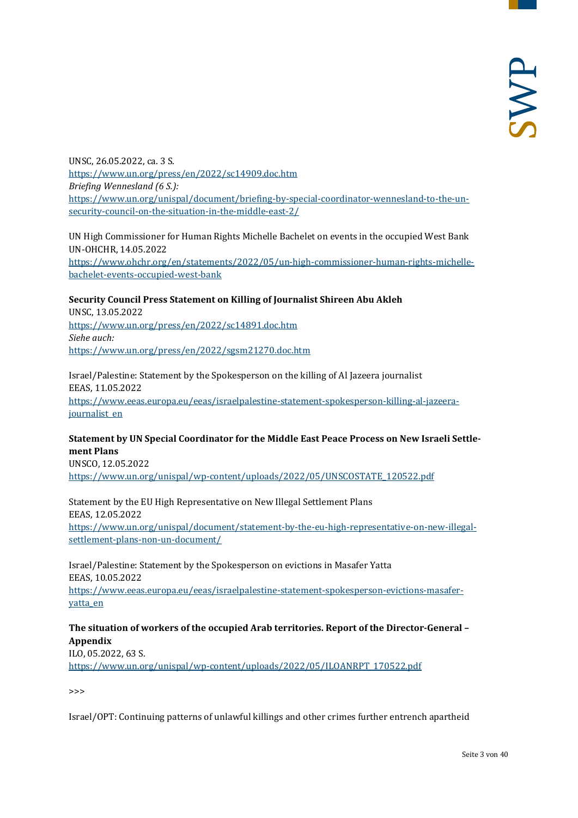UNSC, 26.05.2022, ca. 3 S. <https://www.un.org/press/en/2022/sc14909.doc.htm> *Briefing Wennesland (6 S.):* [https://www.un.org/unispal/document/briefing-by-special-coordinator-wennesland-to-the-un](https://www.un.org/unispal/document/briefing-by-special-coordinator-wennesland-to-the-un-security-council-on-the-situation-in-the-middle-east-2/)[security-council-on-the-situation-in-the-middle-east-2/](https://www.un.org/unispal/document/briefing-by-special-coordinator-wennesland-to-the-un-security-council-on-the-situation-in-the-middle-east-2/)

UN High Commissioner for Human Rights Michelle Bachelet on events in the occupied West Bank UN-OHCHR, 14.05.2022 [https://www.ohchr.org/en/statements/2022/05/un-high-commissioner-human-rights-michelle](https://www.ohchr.org/en/statements/2022/05/un-high-commissioner-human-rights-michelle-bachelet-events-occupied-west-bank)[bachelet-events-occupied-west-bank](https://www.ohchr.org/en/statements/2022/05/un-high-commissioner-human-rights-michelle-bachelet-events-occupied-west-bank)

#### **Security Council Press Statement on Killing of Journalist Shireen Abu Akleh**

UNSC, 13.05.2022 <https://www.un.org/press/en/2022/sc14891.doc.htm> *Siehe auch:* <https://www.un.org/press/en/2022/sgsm21270.doc.htm>

Israel/Palestine: Statement by the Spokesperson on the killing of Al Jazeera journalist EEAS, 11.05.2022 [https://www.eeas.europa.eu/eeas/israelpalestine-statement-spokesperson-killing-al-jazeera](https://www.eeas.europa.eu/eeas/israelpalestine-statement-spokesperson-killing-al-jazeera-journalist_en)[journalist\\_en](https://www.eeas.europa.eu/eeas/israelpalestine-statement-spokesperson-killing-al-jazeera-journalist_en)

## **Statement by UN Special Coordinator for the Middle East Peace Process on New Israeli Settlement Plans**

UNSCO, 12.05.2022 [https://www.un.org/unispal/wp-content/uploads/2022/05/UNSCOSTATE\\_120522.pdf](https://www.un.org/unispal/wp-content/uploads/2022/05/UNSCOSTATE_120522.pdf)

Statement by the EU High Representative on New Illegal Settlement Plans EEAS, 12.05.2022 [https://www.un.org/unispal/document/statement-by-the-eu-high-representative-on-new-illegal](https://www.un.org/unispal/document/statement-by-the-eu-high-representative-on-new-illegal-settlement-plans-non-un-document/)[settlement-plans-non-un-document/](https://www.un.org/unispal/document/statement-by-the-eu-high-representative-on-new-illegal-settlement-plans-non-un-document/)

Israel/Palestine: Statement by the Spokesperson on evictions in Masafer Yatta EEAS, 10.05.2022 [https://www.eeas.europa.eu/eeas/israelpalestine-statement-spokesperson-evictions-masafer](https://www.eeas.europa.eu/eeas/israelpalestine-statement-spokesperson-evictions-masafer-yatta_en)[yatta\\_en](https://www.eeas.europa.eu/eeas/israelpalestine-statement-spokesperson-evictions-masafer-yatta_en)

## **The situation of workers of the occupied Arab territories. Report of the Director-General – Appendix**

ILO, 05.2022, 63 S. [https://www.un.org/unispal/wp-content/uploads/2022/05/ILOANRPT\\_170522.pdf](https://www.un.org/unispal/wp-content/uploads/2022/05/ILOANRPT_170522.pdf)

>>>

Israel/OPT: Continuing patterns of unlawful killings and other crimes further entrench apartheid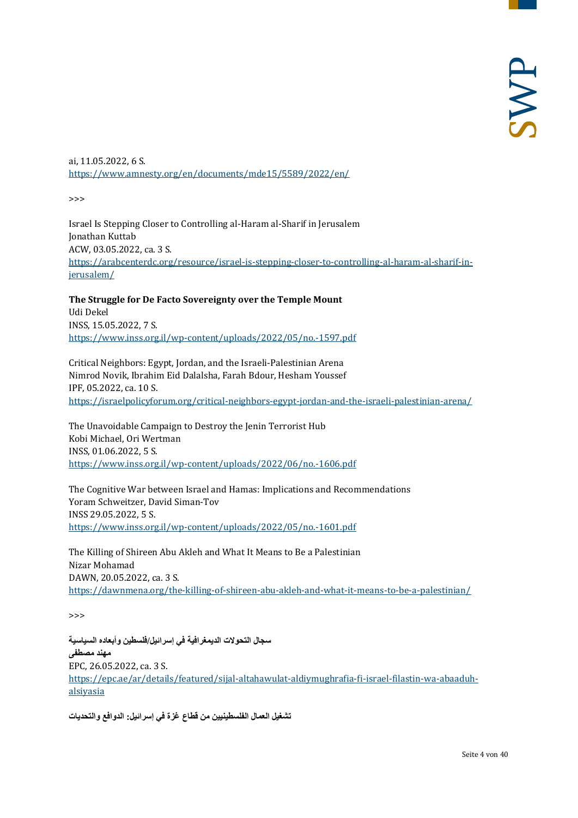ai, 11.05.2022, 6 S. <https://www.amnesty.org/en/documents/mde15/5589/2022/en/>

>>>

Israel Is Stepping Closer to Controlling al-Haram al-Sharif in Jerusalem Jonathan Kuttab ACW, 03.05.2022, ca. 3 S. [https://arabcenterdc.org/resource/israel-is-stepping-closer-to-controlling-al-haram-al-sharif-in](https://arabcenterdc.org/resource/israel-is-stepping-closer-to-controlling-al-haram-al-sharif-in-jerusalem/)[jerusalem/](https://arabcenterdc.org/resource/israel-is-stepping-closer-to-controlling-al-haram-al-sharif-in-jerusalem/)

**The Struggle for De Facto Sovereignty over the Temple Mount** Udi Dekel INSS, 15.05.2022, 7 S. <https://www.inss.org.il/wp-content/uploads/2022/05/no.-1597.pdf>

Critical Neighbors: Egypt, Jordan, and the Israeli-Palestinian Arena Nimrod Novik, Ibrahim Eid Dalalsha, Farah Bdour, Hesham Youssef IPF, 05.2022, ca. 10 S. <https://israelpolicyforum.org/critical-neighbors-egypt-jordan-and-the-israeli-palestinian-arena/>

The Unavoidable Campaign to Destroy the Jenin Terrorist Hub Kobi Michael, Ori Wertman INSS, 01.06.2022, 5 S. <https://www.inss.org.il/wp-content/uploads/2022/06/no.-1606.pdf>

The Cognitive War between Israel and Hamas: Implications and Recommendations Yoram Schweitzer, David Siman-Tov INSS 29.05.2022, 5 S. <https://www.inss.org.il/wp-content/uploads/2022/05/no.-1601.pdf>

The Killing of Shireen Abu Akleh and What It Means to Be a Palestinian Nizar Mohamad DAWN, 20.05.2022, ca. 3 S. <https://dawnmena.org/the-killing-of-shireen-abu-akleh-and-what-it-means-to-be-a-palestinian/>

>>>

**سجال التحولات الدیمغرافیة في إسرائیل/فلسطین وأبعاده السیاسیة مھند مصطفى** EPC, 26.05.2022, ca. 3 S. [https://epc.ae/ar/details/featured/sijal-altahawulat-aldiymughrafia-fi-israel-filastin-wa-abaaduh](https://epc.ae/ar/details/featured/sijal-altahawulat-aldiymughrafia-fi-israel-filastin-wa-abaaduh-alsiyasia)[alsiyasia](https://epc.ae/ar/details/featured/sijal-altahawulat-aldiymughrafia-fi-israel-filastin-wa-abaaduh-alsiyasia)

**تشغیل العمال الفلسطینیین من قطاع غزة في إسرائیل: الدوافع والتحدیات**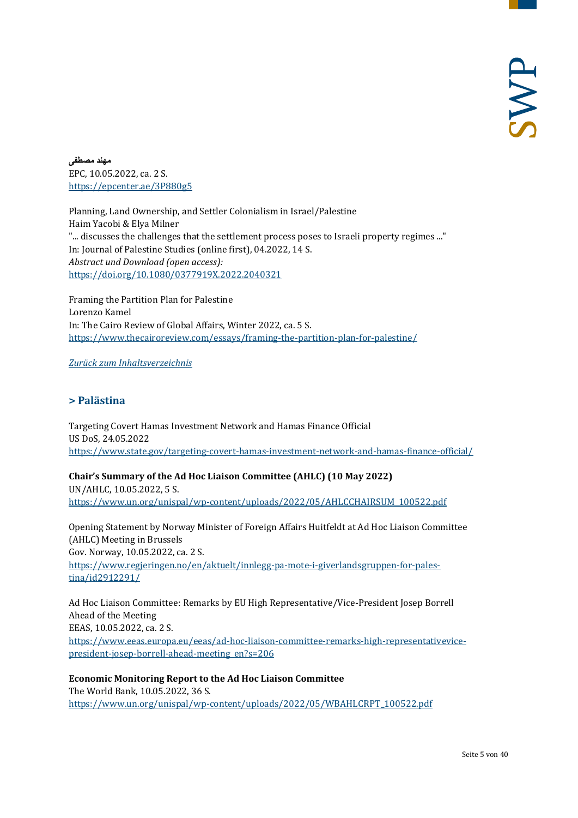**مھند مصطفى** EPC, 10.05.2022, ca. 2 S. <https://epcenter.ae/3P880g5>

Planning, Land Ownership, and Settler Colonialism in Israel/Palestine Haim Yacobi & Elya Milner "... discusses the challenges that the settlement process poses to Israeli property regimes ..." In: Journal of Palestine Studies (online first), 04.2022, 14 S. *Abstract und Download (open access):* <https://doi.org/10.1080/0377919X.2022.2040321>

Framing the Partition Plan for Palestine Lorenzo Kamel In: The Cairo Review of Global Affairs, Winter 2022, ca. 5 S. <https://www.thecairoreview.com/essays/framing-the-partition-plan-for-palestine/>

#### <span id="page-4-0"></span>*[Zurück zum Inhaltsverzeichnis](#page-0-0)*

## **> Palästina**

Targeting Covert Hamas Investment Network and Hamas Finance Official US DoS, 24.05.2022 <https://www.state.gov/targeting-covert-hamas-investment-network-and-hamas-finance-official/>

**Chair's Summary of the Ad Hoc Liaison Committee (AHLC) (10 May 2022)** 

UN/AHLC, 10.05.2022, 5 S. [https://www.un.org/unispal/wp-content/uploads/2022/05/AHLCCHAIRSUM\\_100522.pdf](https://www.un.org/unispal/wp-content/uploads/2022/05/AHLCCHAIRSUM_100522.pdf)

Opening Statement by Norway Minister of Foreign Affairs Huitfeldt at Ad Hoc Liaison Committee (AHLC) Meeting in Brussels Gov. Norway, 10.05.2022, ca. 2 S. [https://www.regjeringen.no/en/aktuelt/innlegg-pa-mote-i-giverlandsgruppen-for-pales](https://www.regjeringen.no/en/aktuelt/innlegg-pa-mote-i-giverlandsgruppen-for-palestina/id2912291/)[tina/id2912291/](https://www.regjeringen.no/en/aktuelt/innlegg-pa-mote-i-giverlandsgruppen-for-palestina/id2912291/)

Ad Hoc Liaison Committee: Remarks by EU High Representative/Vice-President Josep Borrell Ahead of the Meeting EEAS, 10.05.2022, ca. 2 S. [https://www.eeas.europa.eu/eeas/ad-hoc-liaison-committee-remarks-high-representativevice](https://www.eeas.europa.eu/eeas/ad-hoc-liaison-committee-remarks-high-representativevice-president-josep-borrell-ahead-meeting_en?s=206)[president-josep-borrell-ahead-meeting\\_en?s=206](https://www.eeas.europa.eu/eeas/ad-hoc-liaison-committee-remarks-high-representativevice-president-josep-borrell-ahead-meeting_en?s=206)

**Economic Monitoring Report to the Ad Hoc Liaison Committee** The World Bank, 10.05.2022, 36 S. [https://www.un.org/unispal/wp-content/uploads/2022/05/WBAHLCRPT\\_100522.pdf](https://www.un.org/unispal/wp-content/uploads/2022/05/WBAHLCRPT_100522.pdf)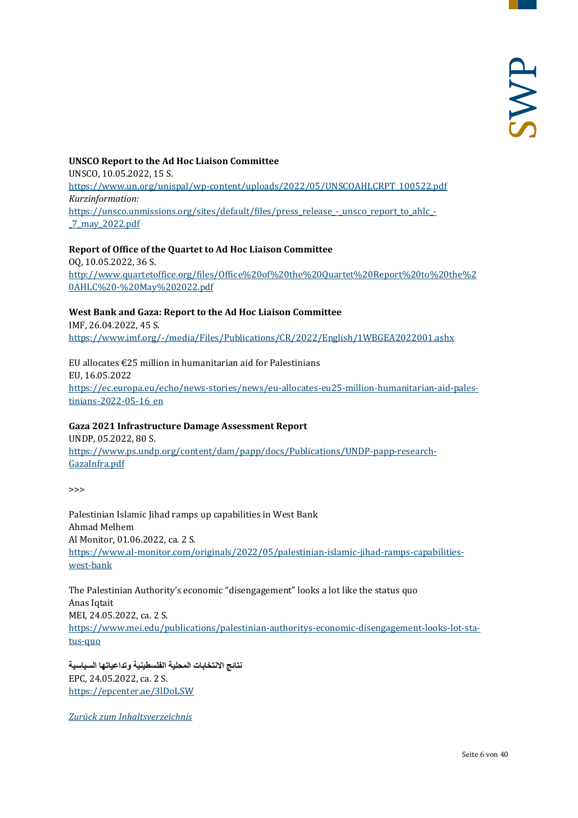## **UNSCO Report to the Ad Hoc Liaison Committee** UNSCO, 10.05.2022, 15 S. [https://www.un.org/unispal/wp-content/uploads/2022/05/UNSCOAHLCRPT\\_100522.pdf](https://www.un.org/unispal/wp-content/uploads/2022/05/UNSCOAHLCRPT_100522.pdf) *Kurzinformation:* [https://unsco.unmissions.org/sites/default/files/press\\_release\\_-\\_unsco\\_report\\_to\\_ahlc\\_-](https://unsco.unmissions.org/sites/default/files/press_release_-_unsco_report_to_ahlc_-_7_may_2022.pdf) [\\_7\\_may\\_2022.pdf](https://unsco.unmissions.org/sites/default/files/press_release_-_unsco_report_to_ahlc_-_7_may_2022.pdf)

## **Report of Office of the Quartet to Ad Hoc Liaison Committee** OQ, 10.05.2022, 36 S. [http://www.quartetoffice.org/files/Office%20of%20the%20Quartet%20Report%20to%20the%2](http://www.quartetoffice.org/files/Office%20of%20the%20Quartet%20Report%20to%20the%20AHLC%20-%20May%202022.pdf) [0AHLC%20-%20May%202022.pdf](http://www.quartetoffice.org/files/Office%20of%20the%20Quartet%20Report%20to%20the%20AHLC%20-%20May%202022.pdf)

## **West Bank and Gaza: Report to the Ad Hoc Liaison Committee**

IMF, 26.04.2022, 45 S. <https://www.imf.org/-/media/Files/Publications/CR/2022/English/1WBGEA2022001.ashx>

EU allocates  $E25$  million in humanitarian aid for Palestinians EU, 16.05.2022 [https://ec.europa.eu/echo/news-stories/news/eu-allocates-eu25-million-humanitarian-aid-pales](https://ec.europa.eu/echo/news-stories/news/eu-allocates-eu25-million-humanitarian-aid-palestinians-2022-05-16_en)[tinians-2022-05-16\\_en](https://ec.europa.eu/echo/news-stories/news/eu-allocates-eu25-million-humanitarian-aid-palestinians-2022-05-16_en)

## **Gaza 2021 Infrastructure Damage Assessment Report**

UNDP, 05.2022, 80 S. [https://www.ps.undp.org/content/dam/papp/docs/Publications/UNDP-papp-research-](https://www.ps.undp.org/content/dam/papp/docs/Publications/UNDP-papp-research-GazaInfra.pdf)[GazaInfra.pdf](https://www.ps.undp.org/content/dam/papp/docs/Publications/UNDP-papp-research-GazaInfra.pdf)

 $\rightarrow$ 

Palestinian Islamic Jihad ramps up capabilities in West Bank Ahmad Melhem Al Monitor, 01.06.2022, ca. 2 S. [https://www.al-monitor.com/originals/2022/05/palestinian-islamic-jihad-ramps-capabilities](https://www.al-monitor.com/originals/2022/05/palestinian-islamic-jihad-ramps-capabilities-west-bank)[west-bank](https://www.al-monitor.com/originals/2022/05/palestinian-islamic-jihad-ramps-capabilities-west-bank)

The Palestinian Authority's economic "disengagement" looks a lot like the status quo Anas Iqtait MEI, 24.05.2022, ca. 2 S. [https://www.mei.edu/publications/palestinian-authoritys-economic-disengagement-looks-lot-sta](https://www.mei.edu/publications/palestinian-authoritys-economic-disengagement-looks-lot-status-quo)[tus-quo](https://www.mei.edu/publications/palestinian-authoritys-economic-disengagement-looks-lot-status-quo)

**نتائج الانتخابات المحلیة الفلسطینیة وتداعیاتھا السیاسیة** EPC, 24.05.2022, ca. 2 S. <https://epcenter.ae/3lDoLSW>

*[Zurück zum Inhaltsverzeichnis](#page-0-0)*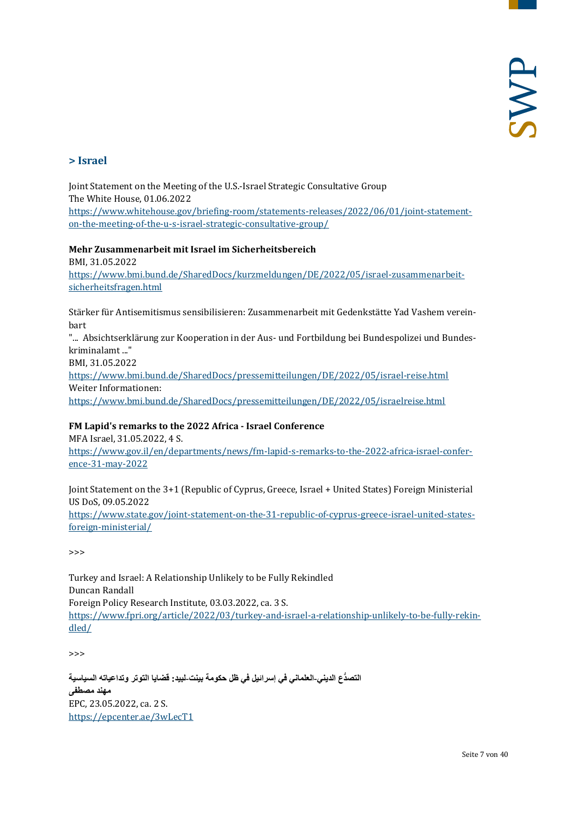## <span id="page-6-0"></span>**> Israel**

Joint Statement on the Meeting of the U.S.-Israel Strategic Consultative Group The White House, 01.06.2022 [https://www.whitehouse.gov/briefing-room/statements-releases/2022/06/01/joint-statement](https://www.whitehouse.gov/briefing-room/statements-releases/2022/06/01/joint-statement-on-the-meeting-of-the-u-s-israel-strategic-consultative-group/)[on-the-meeting-of-the-u-s-israel-strategic-consultative-group/](https://www.whitehouse.gov/briefing-room/statements-releases/2022/06/01/joint-statement-on-the-meeting-of-the-u-s-israel-strategic-consultative-group/)

#### **Mehr Zusammenarbeit mit Israel im Sicherheitsbereich**

BMI, 31.05.2022 [https://www.bmi.bund.de/SharedDocs/kurzmeldungen/DE/2022/05/israel-zusammenarbeit](https://www.bmi.bund.de/SharedDocs/kurzmeldungen/DE/2022/05/israel-zusammenarbeit-sicherheitsfragen.html)[sicherheitsfragen.html](https://www.bmi.bund.de/SharedDocs/kurzmeldungen/DE/2022/05/israel-zusammenarbeit-sicherheitsfragen.html)

Stärker für Antisemitismus sensibilisieren: Zusammenarbeit mit Gedenkstätte Yad Vashem vereinbart

"... Absichtserklärung zur Kooperation in der Aus- und Fortbildung bei Bundespolizei und Bundeskriminalamt ..."

BMI, 31.05.2022

<https://www.bmi.bund.de/SharedDocs/pressemitteilungen/DE/2022/05/israel-reise.html> Weiter Informationen:

<https://www.bmi.bund.de/SharedDocs/pressemitteilungen/DE/2022/05/israelreise.html>

## **FM Lapid's remarks to the 2022 Africa - Israel Conference**

MFA Israel, 31.05.2022, 4 S.

[https://www.gov.il/en/departments/news/fm-lapid-s-remarks-to-the-2022-africa-israel-confer](https://www.gov.il/en/departments/news/fm-lapid-s-remarks-to-the-2022-africa-israel-conference-31-may-2022)[ence-31-may-2022](https://www.gov.il/en/departments/news/fm-lapid-s-remarks-to-the-2022-africa-israel-conference-31-may-2022)

Joint Statement on the 3+1 (Republic of Cyprus, Greece, Israel + United States) Foreign Ministerial US DoS, 09.05.2022 [https://www.state.gov/joint-statement-on-the-31-republic-of-cyprus-greece-israel-united-states](https://www.state.gov/joint-statement-on-the-31-republic-of-cyprus-greece-israel-united-states-foreign-ministerial/)[foreign-ministerial/](https://www.state.gov/joint-statement-on-the-31-republic-of-cyprus-greece-israel-united-states-foreign-ministerial/)

>>>

Turkey and Israel: A Relationship Unlikely to be Fully Rekindled Duncan Randall Foreign Policy Research Institute, 03.03.2022, ca. 3 S. [https://www.fpri.org/article/2022/03/turkey-and-israel-a-relationship-unlikely-to-be-fully-rekin](https://www.fpri.org/article/2022/03/turkey-and-israel-a-relationship-unlikely-to-be-fully-rekindled/)[dled/](https://www.fpri.org/article/2022/03/turkey-and-israel-a-relationship-unlikely-to-be-fully-rekindled/)

>>>

**ُّ التصدع الدیني-العلماني في إسرائیل في ظل حكومة بینت-لبید: قضایا التوتر وتداعیاتھ السیاسیة مھند مصطفى** EPC, 23.05.2022, ca. 2 S. <https://epcenter.ae/3wLecT1>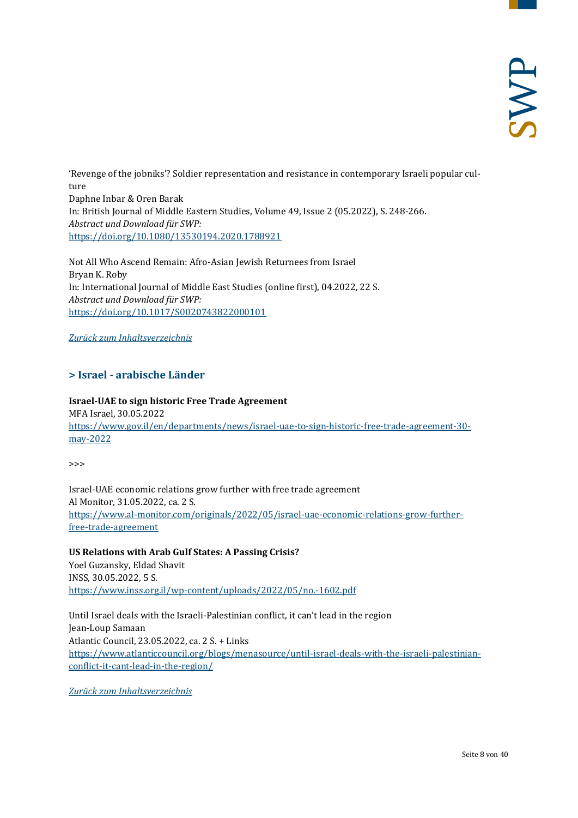'Revenge of the jobniks'? Soldier representation and resistance in contemporary Israeli popular culture Daphne Inbar & Oren Barak In: British Journal of Middle Eastern Studies, Volume 49, Issue 2 (05.2022), S. 248-266. *Abstract und Download für SWP:* <https://doi.org/10.1080/13530194.2020.1788921>

Not All Who Ascend Remain: Afro-Asian Jewish Returnees from Israel Bryan K. Roby In: International Journal of Middle East Studies (online first), 04.2022, 22 S. *Abstract und Download für SWP:* <https://doi.org/10.1017/S0020743822000101>

<span id="page-7-0"></span>*[Zurück zum Inhaltsverzeichnis](#page-0-0)*

## **> Israel - arabische Länder**

**Israel-UAE to sign historic Free Trade Agreement**  MFA Israel, 30.05.2022 [https://www.gov.il/en/departments/news/israel-uae-to-sign-historic-free-trade-agreement-30](https://www.gov.il/en/departments/news/israel-uae-to-sign-historic-free-trade-agreement-30-may-2022) [may-2022](https://www.gov.il/en/departments/news/israel-uae-to-sign-historic-free-trade-agreement-30-may-2022)

>>>

Israel-UAE economic relations grow further with free trade agreement Al Monitor, 31.05.2022, ca. 2 S. [https://www.al-monitor.com/originals/2022/05/israel-uae-economic-relations-grow-further](https://www.al-monitor.com/originals/2022/05/israel-uae-economic-relations-grow-further-free-trade-agreement)[free-trade-agreement](https://www.al-monitor.com/originals/2022/05/israel-uae-economic-relations-grow-further-free-trade-agreement)

**US Relations with Arab Gulf States: A Passing Crisis?** Yoel Guzansky, Eldad Shavit INSS, 30.05.2022, 5 S. <https://www.inss.org.il/wp-content/uploads/2022/05/no.-1602.pdf>

Until Israel deals with the Israeli-Palestinian conflict, it can't lead in the region Jean-Loup Samaan Atlantic Council, 23.05.2022, ca. 2 S. + Links [https://www.atlanticcouncil.org/blogs/menasource/until-israel-deals-with-the-israeli-palestinian](https://www.atlanticcouncil.org/blogs/menasource/until-israel-deals-with-the-israeli-palestinian-conflict-it-cant-lead-in-the-region/)[conflict-it-cant-lead-in-the-region/](https://www.atlanticcouncil.org/blogs/menasource/until-israel-deals-with-the-israeli-palestinian-conflict-it-cant-lead-in-the-region/)

*[Zurück zum Inhaltsverzeichnis](#page-0-0)*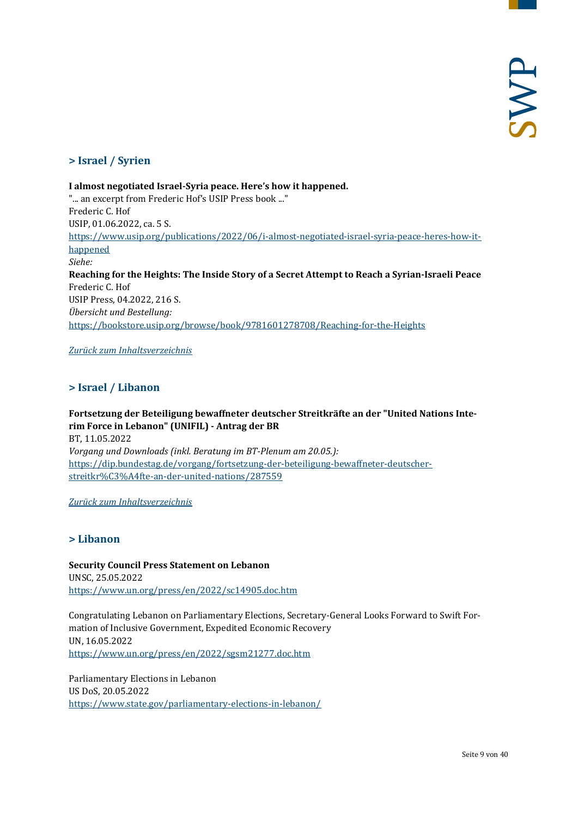## <span id="page-8-0"></span>**> Israel / Syrien**

**I almost negotiated Israel-Syria peace. Here's how it happened.** "... an excerpt from Frederic Hof's USIP Press book ..." Frederic C. Hof USIP, 01.06.2022, ca. 5 S. [https://www.usip.org/publications/2022/06/i-almost-negotiated-israel-syria-peace-heres-how-it](https://www.usip.org/publications/2022/06/i-almost-negotiated-israel-syria-peace-heres-how-it-happened)[happened](https://www.usip.org/publications/2022/06/i-almost-negotiated-israel-syria-peace-heres-how-it-happened) *Siehe:* **Reaching for the Heights: The Inside Story of a Secret Attempt to Reach a Syrian-Israeli Peace**  Frederic C. Hof USIP Press, 04.2022, 216 S. *Übersicht und Bestellung:* <https://bookstore.usip.org/browse/book/9781601278708/Reaching-for-the-Heights>

<span id="page-8-1"></span>*[Zurück zum Inhaltsverzeichnis](#page-0-0)*

## **> Israel / Libanon**

**Fortsetzung der Beteiligung bewaffneter deutscher Streitkräfte an der "United Nations Interim Force in Lebanon" (UNIFIL) - Antrag der BR** BT, 11.05.2022 *Vorgang und Downloads (inkl. Beratung im BT-Plenum am 20.05.):* [https://dip.bundestag.de/vorgang/fortsetzung-der-beteiligung-bewaffneter-deutscher](https://dip.bundestag.de/vorgang/fortsetzung-der-beteiligung-bewaffneter-deutscher-streitkr%C3%A4fte-an-der-united-nations/287559)[streitkr%C3%A4fte-an-der-united-nations/287559](https://dip.bundestag.de/vorgang/fortsetzung-der-beteiligung-bewaffneter-deutscher-streitkr%C3%A4fte-an-der-united-nations/287559)

<span id="page-8-2"></span>*[Zurück zum Inhaltsverzeichnis](#page-0-0)*

## **> Libanon**

**Security Council Press Statement on Lebanon** UNSC, 25.05.2022 <https://www.un.org/press/en/2022/sc14905.doc.htm>

Congratulating Lebanon on Parliamentary Elections, Secretary-General Looks Forward to Swift Formation of Inclusive Government, Expedited Economic Recovery UN, 16.05.2022 <https://www.un.org/press/en/2022/sgsm21277.doc.htm>

Parliamentary Elections in Lebanon US DoS, 20.05.2022 <https://www.state.gov/parliamentary-elections-in-lebanon/>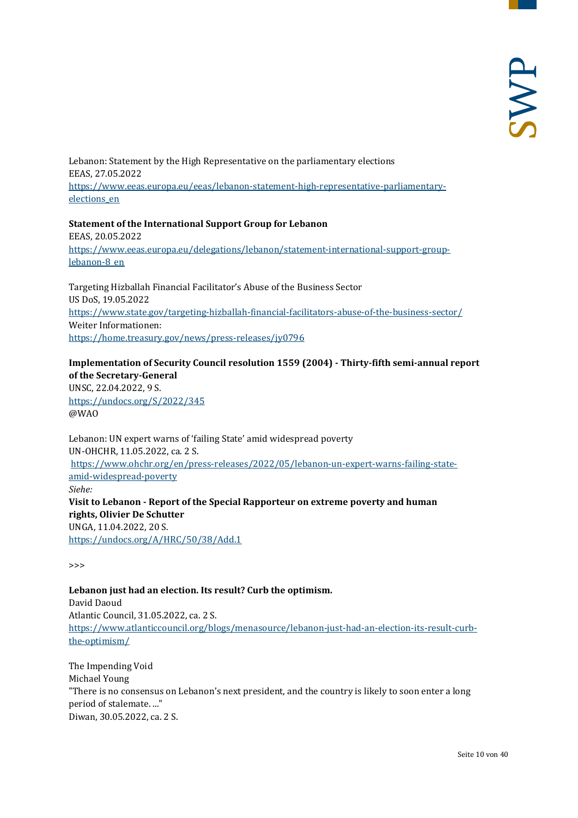Lebanon: Statement by the High Representative on the parliamentary elections EEAS, 27.05.2022 [https://www.eeas.europa.eu/eeas/lebanon-statement-high-representative-parliamentary](https://www.eeas.europa.eu/eeas/lebanon-statement-high-representative-parliamentary-elections_en)[elections\\_en](https://www.eeas.europa.eu/eeas/lebanon-statement-high-representative-parliamentary-elections_en)

**Statement of the International Support Group for Lebanon** EEAS, 20.05.2022 [https://www.eeas.europa.eu/delegations/lebanon/statement-international-support-group](https://www.eeas.europa.eu/delegations/lebanon/statement-international-support-group-lebanon-8_en)[lebanon-8\\_en](https://www.eeas.europa.eu/delegations/lebanon/statement-international-support-group-lebanon-8_en)

Targeting Hizballah Financial Facilitator's Abuse of the Business Sector US DoS, 19.05.2022 <https://www.state.gov/targeting-hizballah-financial-facilitators-abuse-of-the-business-sector/> Weiter Informationen: <https://home.treasury.gov/news/press-releases/jy0796>

## **Implementation of Security Council resolution 1559 (2004) - Thirty-fifth semi-annual report of the Secretary-General**

UNSC, 22.04.2022, 9 S. <https://undocs.org/S/2022/345> @WAO

Lebanon: UN expert warns of 'failing State' amid widespread poverty UN-OHCHR, 11.05.2022, ca. 2 S. [https://www.ohchr.org/en/press-releases/2022/05/lebanon-un-expert-warns-failing-state](https://www.ohchr.org/en/press-releases/2022/05/lebanon-un-expert-warns-failing-state-amid-widespread-poverty)[amid-widespread-poverty](https://www.ohchr.org/en/press-releases/2022/05/lebanon-un-expert-warns-failing-state-amid-widespread-poverty) *Siehe:* **Visit to Lebanon - Report of the Special Rapporteur on extreme poverty and human rights, Olivier De Schutter** UNGA, 11.04.2022, 20 S. <https://undocs.org/A/HRC/50/38/Add.1>

>>>

## **Lebanon just had an election. Its result? Curb the optimism.** David Daoud Atlantic Council, 31.05.2022, ca. 2 S. [https://www.atlanticcouncil.org/blogs/menasource/lebanon-just-had-an-election-its-result-curb](https://www.atlanticcouncil.org/blogs/menasource/lebanon-just-had-an-election-its-result-curb-the-optimism/)[the-optimism/](https://www.atlanticcouncil.org/blogs/menasource/lebanon-just-had-an-election-its-result-curb-the-optimism/)

The Impending Void Michael Young "There is no consensus on Lebanon's next president, and the country is likely to soon enter a long period of stalemate. ..." Diwan, 30.05.2022, ca. 2 S.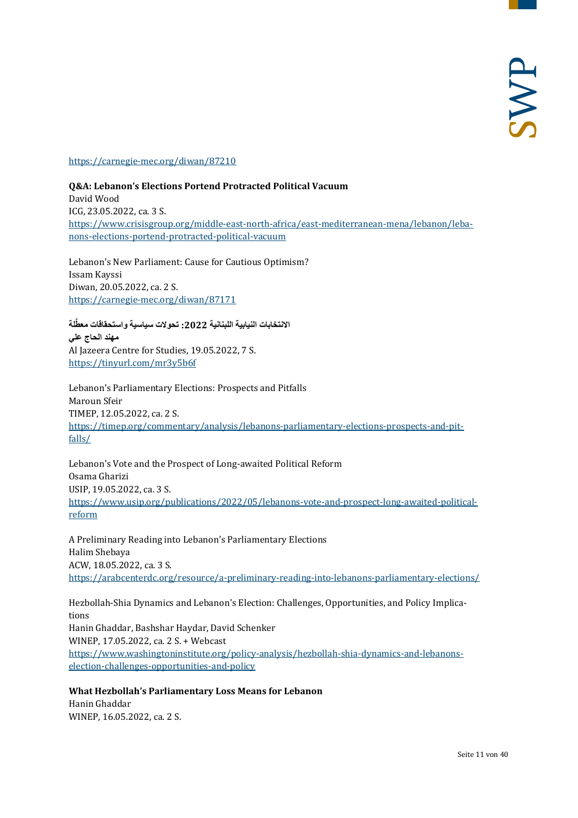<https://carnegie-mec.org/diwan/87210>

**Q&A: Lebanon's Elections Portend Protracted Political Vacuum** David Wood ICG, 23.05.2022, ca. 3 S. [https://www.crisisgroup.org/middle-east-north-africa/east-mediterranean-mena/lebanon/leba](https://www.crisisgroup.org/middle-east-north-africa/east-mediterranean-mena/lebanon/lebanons-elections-portend-protracted-political-vacuum)[nons-elections-portend-protracted-political-vacuum](https://www.crisisgroup.org/middle-east-north-africa/east-mediterranean-mena/lebanon/lebanons-elections-portend-protracted-political-vacuum)

Lebanon's New Parliament: Cause for Cautious Optimism? Issam Kayssi Diwan, 20.05.2022, ca. 2 S. <https://carnegie-mec.org/diwan/87171>

الانتخابات النيابية اللبنانية 2022: تحولات سياسية واستحقاقات معطَّلة **مھند الحاج علي** Al Jazeera Centre for Studies, 19.05.2022, 7 S. <https://tinyurl.com/mr3y5b6f>

Lebanon's Parliamentary Elections: Prospects and Pitfalls Maroun Sfeir TIMEP, 12.05.2022, ca. 2 S. [https://timep.org/commentary/analysis/lebanons-parliamentary-elections-prospects-and-pit](https://timep.org/commentary/analysis/lebanons-parliamentary-elections-prospects-and-pitfalls/)[falls/](https://timep.org/commentary/analysis/lebanons-parliamentary-elections-prospects-and-pitfalls/)

Lebanon's Vote and the Prospect of Long-awaited Political Reform Osama Gharizi USIP, 19.05.2022, ca. 3 S. [https://www.usip.org/publications/2022/05/lebanons-vote-and-prospect-long-awaited-political](https://www.usip.org/publications/2022/05/lebanons-vote-and-prospect-long-awaited-political-reform)[reform](https://www.usip.org/publications/2022/05/lebanons-vote-and-prospect-long-awaited-political-reform)

A Preliminary Reading into Lebanon's Parliamentary Elections Halim Shebaya ACW, 18.05.2022, ca. 3 S. <https://arabcenterdc.org/resource/a-preliminary-reading-into-lebanons-parliamentary-elections/>

Hezbollah-Shia Dynamics and Lebanon's Election: Challenges, Opportunities, and Policy Implications Hanin Ghaddar, Bashshar Haydar, David Schenker WINEP, 17.05.2022, ca. 2 S. + Webcast [https://www.washingtoninstitute.org/policy-analysis/hezbollah-shia-dynamics-and-lebanons](https://www.washingtoninstitute.org/policy-analysis/hezbollah-shia-dynamics-and-lebanons-election-challenges-opportunities-and-policy)[election-challenges-opportunities-and-policy](https://www.washingtoninstitute.org/policy-analysis/hezbollah-shia-dynamics-and-lebanons-election-challenges-opportunities-and-policy)

**What Hezbollah's Parliamentary Loss Means for Lebanon** Hanin Ghaddar WINEP, 16.05.2022, ca. 2 S.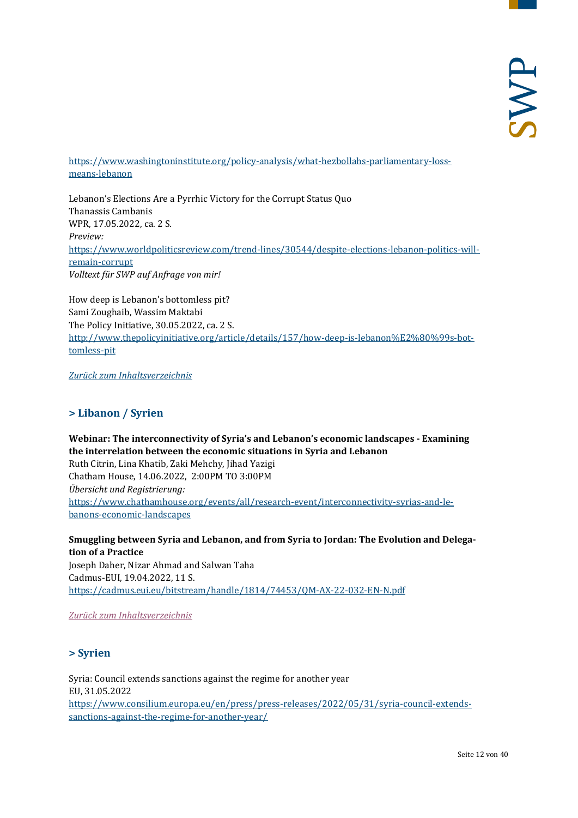[https://www.washingtoninstitute.org/policy-analysis/what-hezbollahs-parliamentary-loss](https://www.washingtoninstitute.org/policy-analysis/what-hezbollahs-parliamentary-loss-means-lebanon)[means-lebanon](https://www.washingtoninstitute.org/policy-analysis/what-hezbollahs-parliamentary-loss-means-lebanon)

Lebanon's Elections Are a Pyrrhic Victory for the Corrupt Status Quo Thanassis Cambanis WPR, 17.05.2022, ca. 2 S. *Preview:* [https://www.worldpoliticsreview.com/trend-lines/30544/despite-elections-lebanon-politics-will](https://www.worldpoliticsreview.com/trend-lines/30544/despite-elections-lebanon-politics-will-remain-corrupt)[remain-corrupt](https://www.worldpoliticsreview.com/trend-lines/30544/despite-elections-lebanon-politics-will-remain-corrupt) *Volltext für SWP auf Anfrage von mir!*

How deep is Lebanon's bottomless pit? Sami Zoughaib, Wassim Maktabi The Policy Initiative, 30.05.2022, ca. 2 S. [http://www.thepolicyinitiative.org/article/details/157/how-deep-is-lebanon%E2%80%99s-bot](http://www.thepolicyinitiative.org/article/details/157/how-deep-is-lebanon%E2%80%99s-bottomless-pit)[tomless-pit](http://www.thepolicyinitiative.org/article/details/157/how-deep-is-lebanon%E2%80%99s-bottomless-pit)

<span id="page-11-0"></span>*[Zurück zum Inhaltsverzeichnis](#page-0-0)*

## **> Libanon / Syrien**

**Webinar: The interconnectivity of Syria's and Lebanon's economic landscapes - Examining the interrelation between the economic situations in Syria and Lebanon** Ruth Citrin, Lina Khatib, Zaki Mehchy, Jihad Yazigi Chatham House, 14.06.2022, 2:00PM TO 3:00PM *Übersicht und Registrierung:* [https://www.chathamhouse.org/events/all/research-event/interconnectivity-syrias-and-le](https://www.chathamhouse.org/events/all/research-event/interconnectivity-syrias-and-lebanons-economic-landscapes)[banons-economic-landscapes](https://www.chathamhouse.org/events/all/research-event/interconnectivity-syrias-and-lebanons-economic-landscapes)

**Smuggling between Syria and Lebanon, and from Syria to Jordan: The Evolution and Delegation of a Practice** Joseph Daher, Nizar Ahmad and Salwan Taha Cadmus-EUI, 19.04.2022, 11 S. [https://cadmus.eui.eu/bitstream/handle/1814/74453/QM-AX-22-032-EN-N.pdf](https://cadmus.eui.eu/bitstream/handle/1814/74453/QM-AX-22-032-EN-N.pdf?sequence=1&isAllowed=y)

<span id="page-11-1"></span>*[Zurück zum Inhaltsverzeichnis](#page-0-0)*

## **> Syrien**

Syria: Council extends sanctions against the regime for another year EU, 31.05.2022 [https://www.consilium.europa.eu/en/press/press-releases/2022/05/31/syria-council-extends](https://www.consilium.europa.eu/en/press/press-releases/2022/05/31/syria-council-extends-sanctions-against-the-regime-for-another-year/)[sanctions-against-the-regime-for-another-year/](https://www.consilium.europa.eu/en/press/press-releases/2022/05/31/syria-council-extends-sanctions-against-the-regime-for-another-year/)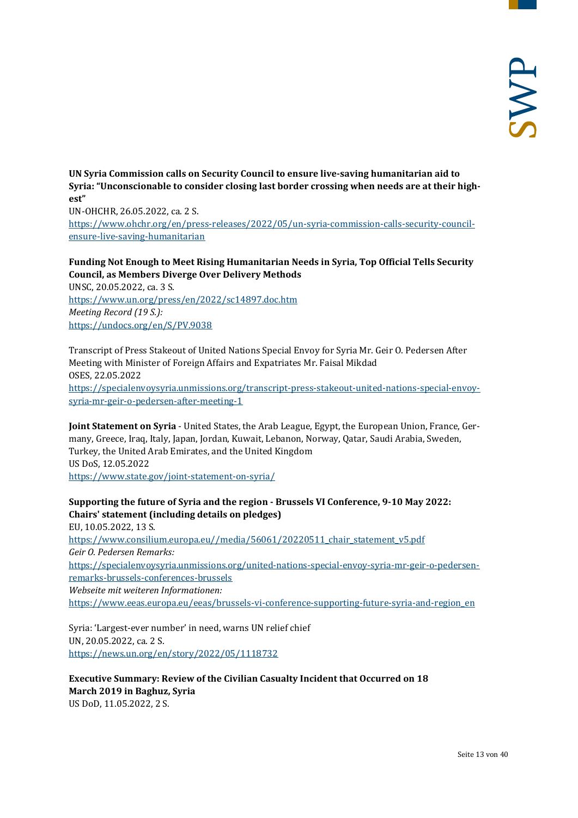**UN Syria Commission calls on Security Council to ensure live-saving humanitarian aid to Syria: "Unconscionable to consider closing last border crossing when needs are at their highest"**

UN-OHCHR, 26.05.2022, ca. 2 S. [https://www.ohchr.org/en/press-releases/2022/05/un-syria-commission-calls-security-council](https://www.ohchr.org/en/press-releases/2022/05/un-syria-commission-calls-security-council-ensure-live-saving-humanitarian)[ensure-live-saving-humanitarian](https://www.ohchr.org/en/press-releases/2022/05/un-syria-commission-calls-security-council-ensure-live-saving-humanitarian)

## **Funding Not Enough to Meet Rising Humanitarian Needs in Syria, Top Official Tells Security Council, as Members Diverge Over Delivery Methods**

UNSC, 20.05.2022, ca. 3 S. <https://www.un.org/press/en/2022/sc14897.doc.htm> *Meeting Record (19 S.):* <https://undocs.org/en/S/PV.9038>

Transcript of Press Stakeout of United Nations Special Envoy for Syria Mr. Geir O. Pedersen After Meeting with Minister of Foreign Affairs and Expatriates Mr. Faisal Mikdad OSES, 22.05.2022 [https://specialenvoysyria.unmissions.org/transcript-press-stakeout-united-nations-special-envoy](https://specialenvoysyria.unmissions.org/transcript-press-stakeout-united-nations-special-envoy-syria-mr-geir-o-pedersen-after-meeting-1)[syria-mr-geir-o-pedersen-after-meeting-1](https://specialenvoysyria.unmissions.org/transcript-press-stakeout-united-nations-special-envoy-syria-mr-geir-o-pedersen-after-meeting-1)

**Joint Statement on Syria** - United States, the Arab League, Egypt, the European Union, France, Germany, Greece, Iraq, Italy, Japan, Jordan, Kuwait, Lebanon, Norway, Qatar, Saudi Arabia, Sweden, Turkey, the United Arab Emirates, and the United Kingdom US DoS, 12.05.2022 <https://www.state.gov/joint-statement-on-syria/>

## **Supporting the future of Syria and the region - Brussels VI Conference, 9-10 May 2022: Chairs' statement (including details on pledges)**

EU, 10.05.2022, 13 S. [https://www.consilium.europa.eu//media/56061/20220511\\_chair\\_statement\\_v5.pdf](https://www.consilium.europa.eu/media/56061/20220511_chair_statement_v5.pdf) *Geir O. Pedersen Remarks:* [https://specialenvoysyria.unmissions.org/united-nations-special-envoy-syria-mr-geir-o-pedersen](https://specialenvoysyria.unmissions.org/united-nations-special-envoy-syria-mr-geir-o-pedersen-remarks-brussels-conferences-brussels)[remarks-brussels-conferences-brussels](https://specialenvoysyria.unmissions.org/united-nations-special-envoy-syria-mr-geir-o-pedersen-remarks-brussels-conferences-brussels) *Webseite mit weiteren Informationen:* [https://www.eeas.europa.eu/eeas/brussels-vi-conference-supporting-future-syria-and-region\\_en](https://www.eeas.europa.eu/eeas/brussels-vi-conference-supporting-future-syria-and-region_en)

Syria: 'Largest-ever number' in need, warns UN relief chief UN, 20.05.2022, ca. 2 S. <https://news.un.org/en/story/2022/05/1118732>

## **Executive Summary: Review of the Civilian Casualty Incident that Occurred on 18 March 2019 in Baghuz, Syria** US DoD, 11.05.2022, 2 S.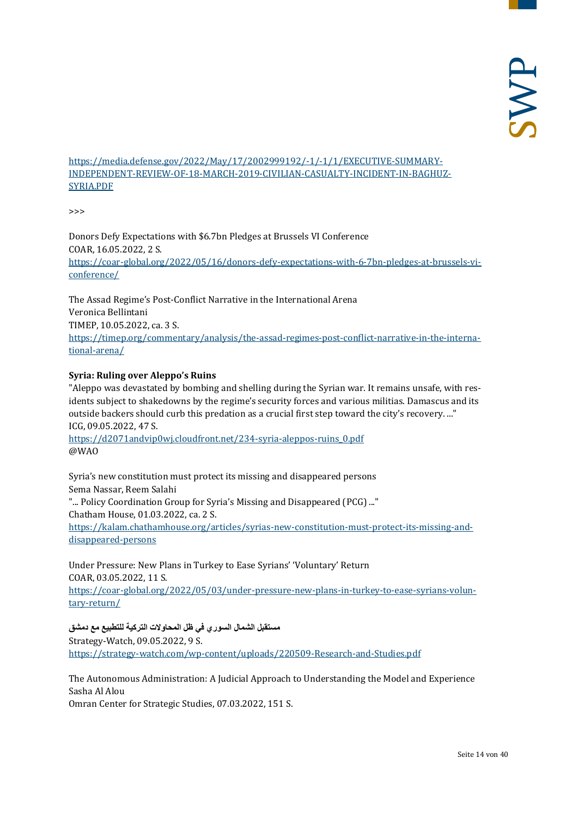[https://media.defense.gov/2022/May/17/2002999192/-1/-1/1/EXECUTIVE-SUMMARY-](https://media.defense.gov/2022/May/17/2002999192/-1/-1/1/EXECUTIVE-SUMMARY-INDEPENDENT-REVIEW-OF-18-MARCH-2019-CIVILIAN-CASUALTY-INCIDENT-IN-BAGHUZ-SYRIA.PDF)[INDEPENDENT-REVIEW-OF-18-MARCH-2019-CIVILIAN-CASUALTY-INCIDENT-IN-BAGHUZ-](https://media.defense.gov/2022/May/17/2002999192/-1/-1/1/EXECUTIVE-SUMMARY-INDEPENDENT-REVIEW-OF-18-MARCH-2019-CIVILIAN-CASUALTY-INCIDENT-IN-BAGHUZ-SYRIA.PDF)[SYRIA.PDF](https://media.defense.gov/2022/May/17/2002999192/-1/-1/1/EXECUTIVE-SUMMARY-INDEPENDENT-REVIEW-OF-18-MARCH-2019-CIVILIAN-CASUALTY-INCIDENT-IN-BAGHUZ-SYRIA.PDF)

>>>

Donors Defy Expectations with \$6.7bn Pledges at Brussels VI Conference COAR, 16.05.2022, 2 S. [https://coar-global.org/2022/05/16/donors-defy-expectations-with-6-7bn-pledges-at-brussels-vi](https://coar-global.org/2022/05/16/donors-defy-expectations-with-6-7bn-pledges-at-brussels-vi-conference/)[conference/](https://coar-global.org/2022/05/16/donors-defy-expectations-with-6-7bn-pledges-at-brussels-vi-conference/)

The Assad Regime's Post-Conflict Narrative in the International Arena Veronica Bellintani TIMEP, 10.05.2022, ca. 3 S. [https://timep.org/commentary/analysis/the-assad-regimes-post-conflict-narrative-in-the-interna](https://timep.org/commentary/analysis/the-assad-regimes-post-conflict-narrative-in-the-international-arena/)[tional-arena/](https://timep.org/commentary/analysis/the-assad-regimes-post-conflict-narrative-in-the-international-arena/)

## **Syria: Ruling over Aleppo's Ruins**

"Aleppo was devastated by bombing and shelling during the Syrian war. It remains unsafe, with residents subject to shakedowns by the regime's security forces and various militias. Damascus and its outside backers should curb this predation as a crucial first step toward the city's recovery. ..." ICG, 09.05.2022, 47 S.

[https://d2071andvip0wj.cloudfront.net/234-syria-aleppos-ruins\\_0.pdf](https://d2071andvip0wj.cloudfront.net/234-syria-aleppos-ruins_0.pdf) @WAO

Syria's new constitution must protect its missing and disappeared persons Sema Nassar, Reem Salahi "... Policy Coordination Group for Syria's Missing and Disappeared (PCG) ..." Chatham House, 01.03.2022, ca. 2 S. [https://kalam.chathamhouse.org/articles/syrias-new-constitution-must-protect-its-missing-and](https://kalam.chathamhouse.org/articles/syrias-new-constitution-must-protect-its-missing-and-disappeared-persons)[disappeared-persons](https://kalam.chathamhouse.org/articles/syrias-new-constitution-must-protect-its-missing-and-disappeared-persons)

Under Pressure: New Plans in Turkey to Ease Syrians' 'Voluntary' Return COAR, 03.05.2022, 11 S. [https://coar-global.org/2022/05/03/under-pressure-new-plans-in-turkey-to-ease-syrians-volun](https://coar-global.org/2022/05/03/under-pressure-new-plans-in-turkey-to-ease-syrians-voluntary-return/)[tary-return/](https://coar-global.org/2022/05/03/under-pressure-new-plans-in-turkey-to-ease-syrians-voluntary-return/)

**مستقبل الشمال السوري في ظل المحاولات التركیة للتطبیع مع دمشق** Strategy-Watch, 09.05.2022, 9 S. <https://strategy-watch.com/wp-content/uploads/220509-Research-and-Studies.pdf>

The Autonomous Administration: A Judicial Approach to Understanding the Model and Experience Sasha Al Alou Omran Center for Strategic Studies, 07.03.2022, 151 S.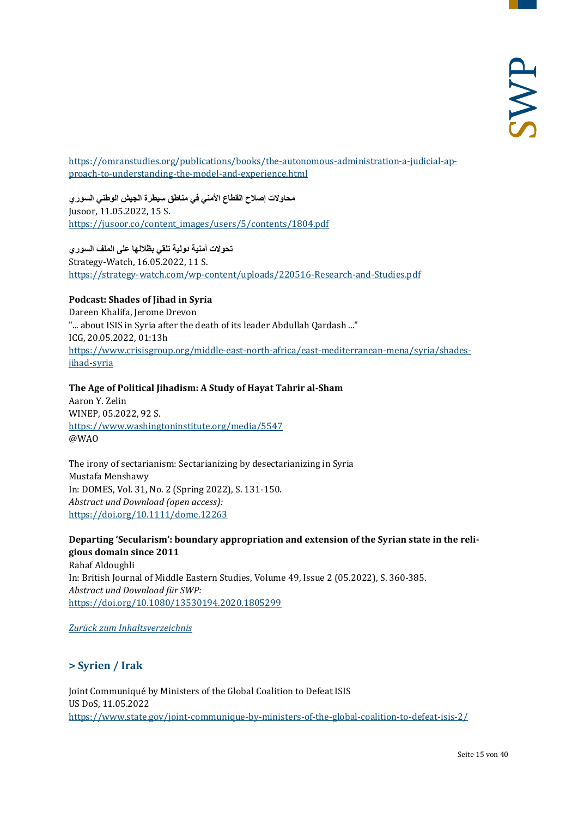[https://omranstudies.org/publications/books/the-autonomous-administration-a-judicial-ap](https://omranstudies.org/publications/books/the-autonomous-administration-a-judicial-approach-to-understanding-the-model-and-experience.html)[proach-to-understanding-the-model-and-experience.html](https://omranstudies.org/publications/books/the-autonomous-administration-a-judicial-approach-to-understanding-the-model-and-experience.html)

**محاولات إصلاح القطاع الأمني في مناطق سیطرة الجیش الوطني السوري** Jusoor, 11.05.2022, 15 S. [https://jusoor.co/content\\_images/users/5/contents/1804.pdf](https://jusoor.co/content_images/users/5/contents/1804.pdf)

**تحولات أمنیة دولیة تلقي بظلالھا على الملف السوري** Strategy-Watch, 16.05.2022, 11 S. <https://strategy-watch.com/wp-content/uploads/220516-Research-and-Studies.pdf>

## **Podcast: Shades of Jihad in Syria**

Dareen Khalifa, Jerome Drevon "... about ISIS in Syria after the death of its leader Abdullah Qardash ..." ICG, 20.05.2022, 01:13h [https://www.crisisgroup.org/middle-east-north-africa/east-mediterranean-mena/syria/shades](https://www.crisisgroup.org/middle-east-north-africa/east-mediterranean-mena/syria/shades-jihad-syria)[jihad-syria](https://www.crisisgroup.org/middle-east-north-africa/east-mediterranean-mena/syria/shades-jihad-syria)

## **The Age of Political Jihadism: A Study of Hayat Tahrir al-Sham**

Aaron Y. Zelin WINEP, 05.2022, 92 S. <https://www.washingtoninstitute.org/media/5547> @WAO

The irony of sectarianism: Sectarianizing by desectarianizing in Syria Mustafa Menshawy In: DOMES, Vol. 31, No. 2 (Spring 2022), S. 131-150. *Abstract und Download (open access):* <https://doi.org/10.1111/dome.12263>

## **Departing 'Secularism': boundary appropriation and extension of the Syrian state in the religious domain since 2011**

Rahaf Aldoughli In: British Journal of Middle Eastern Studies, Volume 49, Issue 2 (05.2022), S. 360-385. *Abstract und Download für SWP:* <https://doi.org/10.1080/13530194.2020.1805299>

<span id="page-14-0"></span>*[Zurück zum Inhaltsverzeichnis](#page-0-0)*

## **> Syrien / Irak**

Joint Communiqué by Ministers of the Global Coalition to Defeat ISIS US DoS, 11.05.2022 <https://www.state.gov/joint-communique-by-ministers-of-the-global-coalition-to-defeat-isis-2/>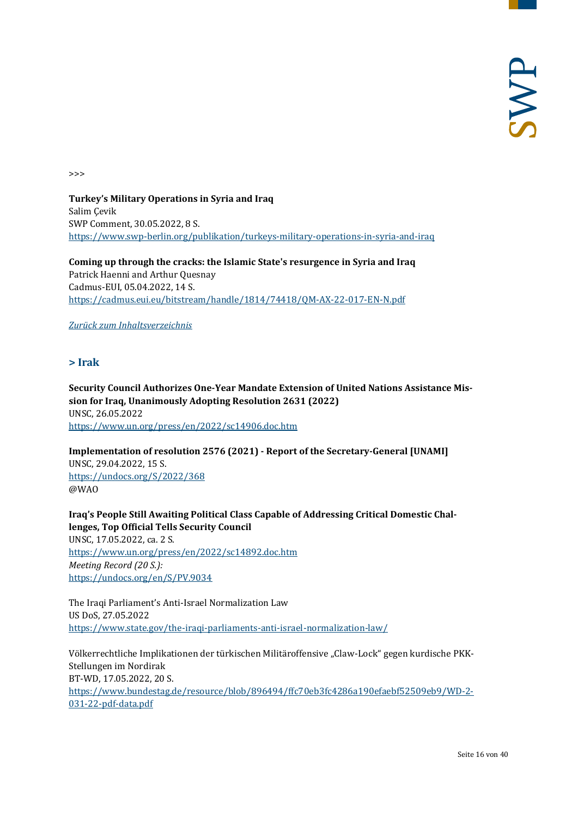>>>

**Turkey's Military Operations in Syria and Iraq**  Salim Çevik SWP Comment, 30.05.2022, 8 S. <https://www.swp-berlin.org/publikation/turkeys-military-operations-in-syria-and-iraq>

**Coming up through the cracks: the Islamic State's resurgence in Syria and Iraq** Patrick Haenni and Arthur Quesnay Cadmus-EUI, 05.04.2022, 14 S. <https://cadmus.eui.eu/bitstream/handle/1814/74418/QM-AX-22-017-EN-N.pdf>

<span id="page-15-0"></span>*[Zurück zum Inhaltsverzeichnis](#page-0-0)*

## **> Irak**

**Security Council Authorizes One-Year Mandate Extension of United Nations Assistance Mission for Iraq, Unanimously Adopting Resolution 2631 (2022)** UNSC, 26.05.2022 <https://www.un.org/press/en/2022/sc14906.doc.htm>

**Implementation of resolution 2576 (2021) - Report of the Secretary-General [UNAMI]** UNSC, 29.04.2022, 15 S. <https://undocs.org/S/2022/368> @WAO

**Iraq's People Still Awaiting Political Class Capable of Addressing Critical Domestic Challenges, Top Official Tells Security Council** UNSC, 17.05.2022, ca. 2 S. <https://www.un.org/press/en/2022/sc14892.doc.htm> *Meeting Record (20 S.):* <https://undocs.org/en/S/PV.9034>

The Iraqi Parliament's Anti-Israel Normalization Law US DoS, 27.05.2022 <https://www.state.gov/the-iraqi-parliaments-anti-israel-normalization-law/>

Völkerrechtliche Implikationen der türkischen Militäroffensive "Claw-Lock" gegen kurdische PKK-Stellungen im Nordirak BT-WD, 17.05.2022, 20 S. [https://www.bundestag.de/resource/blob/896494/ffc70eb3fc4286a190efaebf52509eb9/WD-2-](https://www.bundestag.de/resource/blob/896494/ffc70eb3fc4286a190efaebf52509eb9/WD-2-031-22-pdf-data.pdf) [031-22-pdf-data.pdf](https://www.bundestag.de/resource/blob/896494/ffc70eb3fc4286a190efaebf52509eb9/WD-2-031-22-pdf-data.pdf)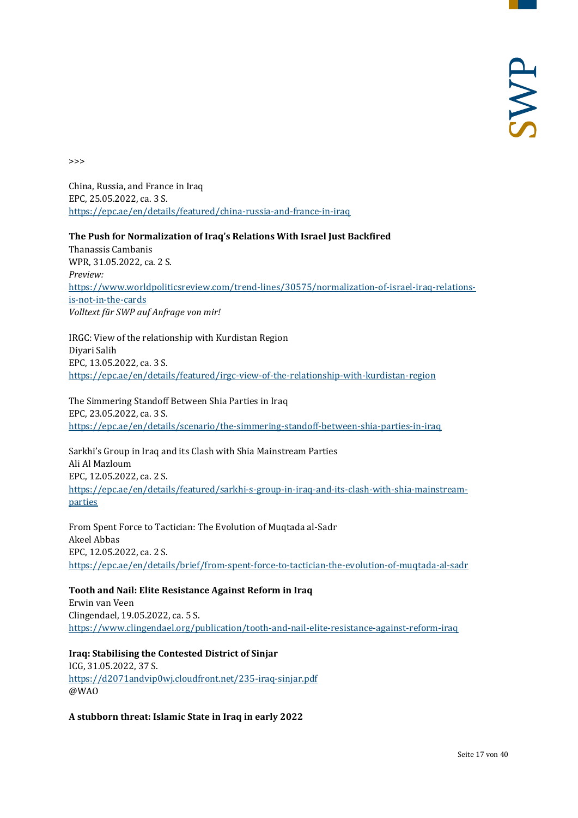>>>

China, Russia, and France in Iraq EPC, 25.05.2022, ca. 3 S. <https://epc.ae/en/details/featured/china-russia-and-france-in-iraq>

#### **The Push for Normalization of Iraq's Relations With Israel Just Backfired**

Thanassis Cambanis WPR, 31.05.2022, ca. 2 S. *Preview:* [https://www.worldpoliticsreview.com/trend-lines/30575/normalization-of-israel-iraq-relations](https://www.worldpoliticsreview.com/trend-lines/30575/normalization-of-israel-iraq-relations-is-not-in-the-cards)[is-not-in-the-cards](https://www.worldpoliticsreview.com/trend-lines/30575/normalization-of-israel-iraq-relations-is-not-in-the-cards) *Volltext für SWP auf Anfrage von mir!*

IRGC: View of the relationship with Kurdistan Region Diyari Salih EPC, 13.05.2022, ca. 3 S. <https://epc.ae/en/details/featured/irgc-view-of-the-relationship-with-kurdistan-region>

The Simmering Standoff Between Shia Parties in Iraq EPC, 23.05.2022, ca. 3 S. <https://epc.ae/en/details/scenario/the-simmering-standoff-between-shia-parties-in-iraq>

Sarkhi's Group in Iraq and its Clash with Shia Mainstream Parties Ali Al Mazloum EPC, 12.05.2022, ca. 2 S. [https://epc.ae/en/details/featured/sarkhi-s-group-in-iraq-and-its-clash-with-shia-mainstream](https://epc.ae/en/details/featured/sarkhi-s-group-in-iraq-and-its-clash-with-shia-mainstream-parties)[parties](https://epc.ae/en/details/featured/sarkhi-s-group-in-iraq-and-its-clash-with-shia-mainstream-parties)

From Spent Force to Tactician: The Evolution of Muqtada al-Sadr Akeel Abbas EPC, 12.05.2022, ca. 2 S. <https://epc.ae/en/details/brief/from-spent-force-to-tactician-the-evolution-of-muqtada-al-sadr>

**Tooth and Nail: Elite Resistance Against Reform in Iraq**  Erwin van Veen Clingendael, 19.05.2022, ca. 5 S. <https://www.clingendael.org/publication/tooth-and-nail-elite-resistance-against-reform-iraq>

**Iraq: Stabilising the Contested District of Sinjar** ICG, 31.05.2022, 37 S. <https://d2071andvip0wj.cloudfront.net/235-iraq-sinjar.pdf> @WAO

**A stubborn threat: Islamic State in Iraq in early 2022**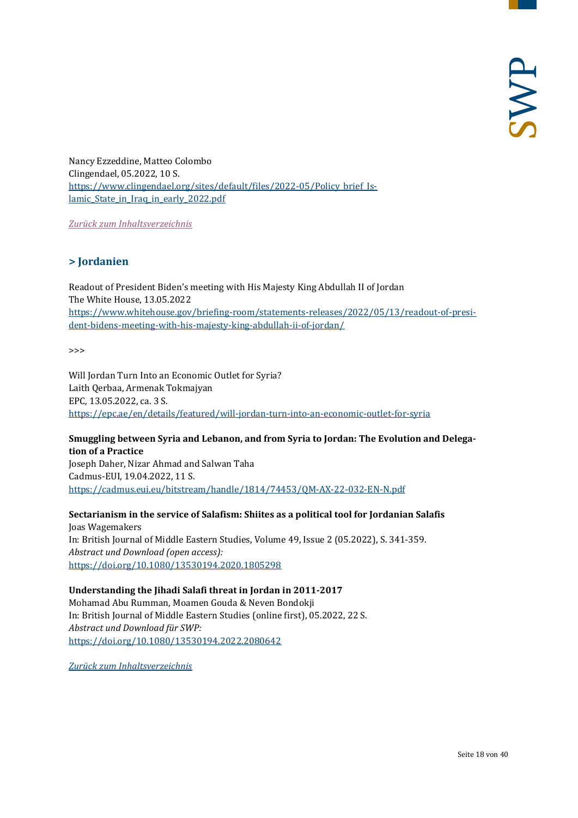Nancy Ezzeddine, Matteo Colombo Clingendael, 05.2022, 10 S. [https://www.clingendael.org/sites/default/files/2022-05/Policy\\_brief\\_Is](https://www.clingendael.org/sites/default/files/2022-05/Policy_brief_Islamic_State_in_Iraq_in_early_2022.pdf)lamic State in Iraq in early 2022.pdf

<span id="page-17-0"></span>*[Zurück zum Inhaltsverzeichnis](#page-0-0)*

## **> Jordanien**

Readout of President Biden's meeting with His Majesty King Abdullah II of Jordan The White House, 13.05.2022 [https://www.whitehouse.gov/briefing-room/statements-releases/2022/05/13/readout-of-presi](https://www.whitehouse.gov/briefing-room/statements-releases/2022/05/13/readout-of-president-bidens-meeting-with-his-majesty-king-abdullah-ii-of-jordan/)[dent-bidens-meeting-with-his-majesty-king-abdullah-ii-of-jordan/](https://www.whitehouse.gov/briefing-room/statements-releases/2022/05/13/readout-of-president-bidens-meeting-with-his-majesty-king-abdullah-ii-of-jordan/)

 $\rightarrow$ 

Will Jordan Turn Into an Economic Outlet for Syria? Laith Qerbaa, Armenak Tokmajyan EPC, 13.05.2022, ca. 3 S. <https://epc.ae/en/details/featured/will-jordan-turn-into-an-economic-outlet-for-syria>

#### **Smuggling between Syria and Lebanon, and from Syria to Jordan: The Evolution and Delegation of a Practice**

Joseph Daher, Nizar Ahmad and Salwan Taha Cadmus-EUI, 19.04.2022, 11 S. [https://cadmus.eui.eu/bitstream/handle/1814/74453/QM-AX-22-032-EN-N.pdf](https://cadmus.eui.eu/bitstream/handle/1814/74453/QM-AX-22-032-EN-N.pdf?sequence=1&isAllowed=y)

## **Sectarianism in the service of Salafism: Shiites as a political tool for Jordanian Salafis**

Joas Wagemakers In: British Journal of Middle Eastern Studies, Volume 49, Issue 2 (05.2022), S. 341-359. *Abstract und Download (open access):* <https://doi.org/10.1080/13530194.2020.1805298>

## **Understanding the Jihadi Salafi threat in Jordan in 2011-2017**

Mohamad Abu Rumman, Moamen Gouda & Neven Bondokji In: British Journal of Middle Eastern Studies (online first), 05.2022, 22 S. *Abstract und Download für SWP:* <https://doi.org/10.1080/13530194.2022.2080642>

*[Zurück zum Inhaltsverzeichnis](#page-0-0)*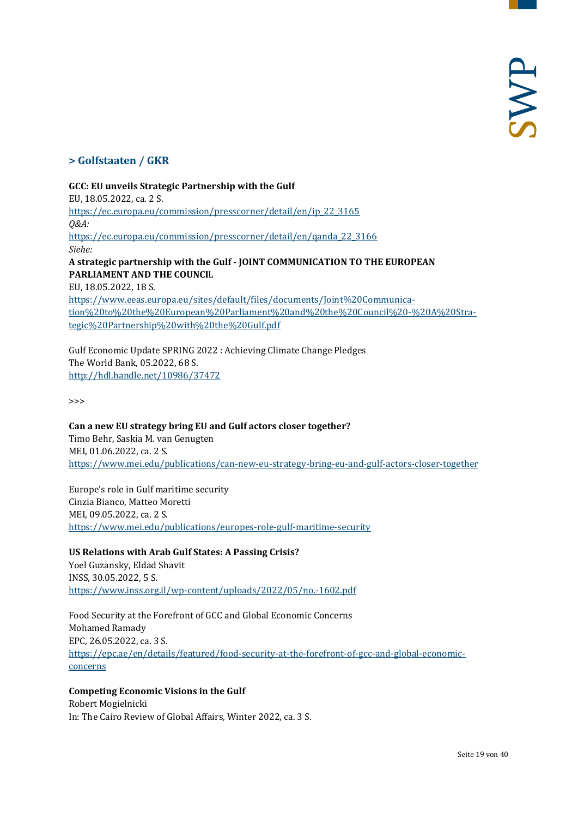## <span id="page-18-0"></span>**> Golfstaaten / GKR**

#### **GCC: EU unveils Strategic Partnership with the Gulf**

EU, 18.05.2022, ca. 2 S. [https://ec.europa.eu/commission/presscorner/detail/en/ip\\_22\\_3165](https://ec.europa.eu/commission/presscorner/detail/en/ip_22_3165) *Q&A:* [https://ec.europa.eu/commission/presscorner/detail/en/qanda\\_22\\_3166](https://ec.europa.eu/commission/presscorner/detail/en/qanda_22_3166) *Siehe:* **A strategic pa***r***tnership with the Gulf - JOINT COMMUNICATION TO THE EUROPEAN PARLIAMENT AND THE COUNCI**L EU, 18.05.2022, 18 S. [https://www.eeas.europa.eu/sites/default/files/documents/Joint%20Communica-](https://www.eeas.europa.eu/sites/default/files/documents/Joint%20Communication%20to%20the%20European%20Parliament%20and%20the%20Council%20-%20A%20Strategic%20Partnership%20with%20the%20Gulf.pdf)

[tion%20to%20the%20European%20Parliament%20and%20the%20Council%20-%20A%20Stra](https://www.eeas.europa.eu/sites/default/files/documents/Joint%20Communication%20to%20the%20European%20Parliament%20and%20the%20Council%20-%20A%20Strategic%20Partnership%20with%20the%20Gulf.pdf)[tegic%20Partnership%20with%20the%20Gulf.pdf](https://www.eeas.europa.eu/sites/default/files/documents/Joint%20Communication%20to%20the%20European%20Parliament%20and%20the%20Council%20-%20A%20Strategic%20Partnership%20with%20the%20Gulf.pdf)

Gulf Economic Update SPRING 2022 : Achieving Climate Change Pledges The World Bank, 05.2022, 68 S. <http://hdl.handle.net/10986/37472>

>>>

**Can a new EU strategy bring EU and Gulf actors closer together?** Timo Behr, Saskia M. van Genugten MEI, 01.06.2022, ca. 2 S. <https://www.mei.edu/publications/can-new-eu-strategy-bring-eu-and-gulf-actors-closer-together>

Europe's role in Gulf maritime security Cinzia Bianco, Matteo Moretti MEI, 09.05.2022, ca. 2 S. <https://www.mei.edu/publications/europes-role-gulf-maritime-security>

#### **US Relations with Arab Gulf States: A Passing Crisis?**

Yoel Guzansky, Eldad Shavit INSS, 30.05.2022, 5 S. <https://www.inss.org.il/wp-content/uploads/2022/05/no.-1602.pdf>

Food Security at the Forefront of GCC and Global Economic Concerns Mohamed Ramady EPC, 26.05.2022, ca. 3 S. [https://epc.ae/en/details/featured/food-security-at-the-forefront-of-gcc-and-global-economic](https://epc.ae/en/details/featured/food-security-at-the-forefront-of-gcc-and-global-economic-concerns)[concerns](https://epc.ae/en/details/featured/food-security-at-the-forefront-of-gcc-and-global-economic-concerns)

## **Competing Economic Visions in the Gulf**

Robert Mogielnicki In: The Cairo Review of Global Affairs, Winter 2022, ca. 3 S.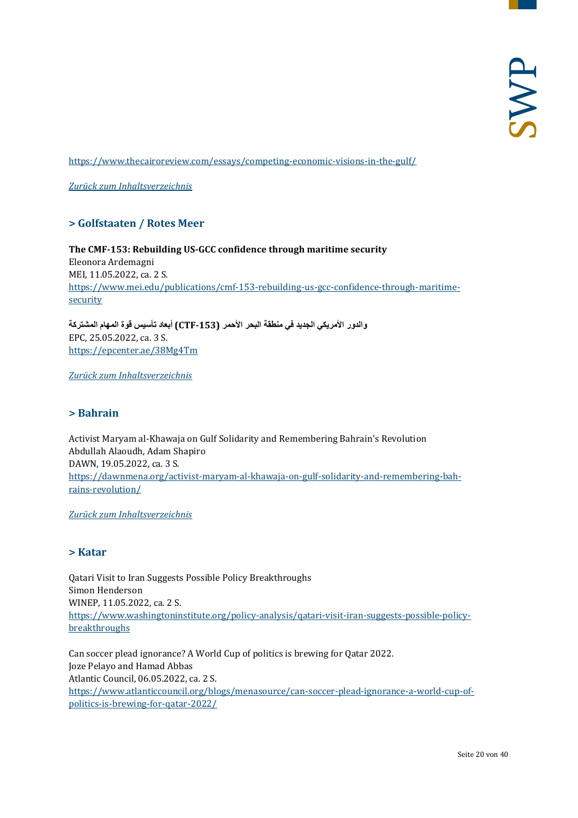<https://www.thecairoreview.com/essays/competing-economic-visions-in-the-gulf/>

<span id="page-19-0"></span>*[Zurück zum Inhaltsverzeichnis](#page-0-0)*

## **> Golfstaaten / Rotes Meer**

**The CMF-153: Rebuilding US-GCC confidence through maritime security** Eleonora Ardemagni MEI, 11.05.2022, ca. 2 S. [https://www.mei.edu/publications/cmf-153-rebuilding-us-gcc-confidence-through-maritime](https://www.mei.edu/publications/cmf-153-rebuilding-us-gcc-confidence-through-maritime-security)[security](https://www.mei.edu/publications/cmf-153-rebuilding-us-gcc-confidence-through-maritime-security)

**والدور الأمریكي الجدید في منطقة البحر الأحمر (-153CTF (أبعاد تأسیس قوة المھام المشتركة** EPC, 25.05.2022, ca. 3 S. <https://epcenter.ae/38Mg4Tm>

<span id="page-19-1"></span>*[Zurück zum Inhaltsverzeichnis](#page-0-0)*

## **> Bahrain**

Activist Maryam al-Khawaja on Gulf Solidarity and Remembering Bahrain's Revolution Abdullah Alaoudh, Adam Shapiro DAWN, 19.05.2022, ca. 3 S. [https://dawnmena.org/activist-maryam-al-khawaja-on-gulf-solidarity-and-remembering-bah](https://dawnmena.org/activist-maryam-al-khawaja-on-gulf-solidarity-and-remembering-bahrains-revolution/)[rains-revolution/](https://dawnmena.org/activist-maryam-al-khawaja-on-gulf-solidarity-and-remembering-bahrains-revolution/)

<span id="page-19-2"></span>*[Zurück zum Inhaltsverzeichnis](#page-0-0)*

## **> Katar**

Qatari Visit to Iran Suggests Possible Policy Breakthroughs Simon Henderson WINEP, 11.05.2022, ca. 2 S. [https://www.washingtoninstitute.org/policy-analysis/qatari-visit-iran-suggests-possible-policy](https://www.washingtoninstitute.org/policy-analysis/qatari-visit-iran-suggests-possible-policy-breakthroughs)[breakthroughs](https://www.washingtoninstitute.org/policy-analysis/qatari-visit-iran-suggests-possible-policy-breakthroughs)

Can soccer plead ignorance? A World Cup of politics is brewing for Qatar 2022. Joze Pelayo and Hamad Abbas Atlantic Council, 06.05.2022, ca. 2 S. [https://www.atlanticcouncil.org/blogs/menasource/can-soccer-plead-ignorance-a-world-cup-of](https://www.atlanticcouncil.org/blogs/menasource/can-soccer-plead-ignorance-a-world-cup-of-politics-is-brewing-for-qatar-2022/)[politics-is-brewing-for-qatar-2022/](https://www.atlanticcouncil.org/blogs/menasource/can-soccer-plead-ignorance-a-world-cup-of-politics-is-brewing-for-qatar-2022/)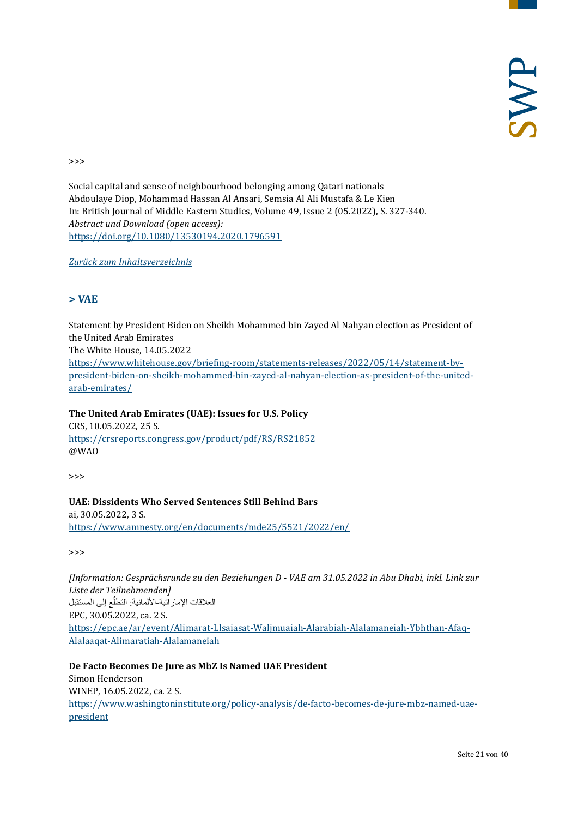>>>

Social capital and sense of neighbourhood belonging among Qatari nationals Abdoulaye Diop, Mohammad Hassan Al Ansari, Semsia Al Ali Mustafa & Le Kien In: British Journal of Middle Eastern Studies, Volume 49, Issue 2 (05.2022), S. 327-340. *Abstract und Download (open access):* <https://doi.org/10.1080/13530194.2020.1796591>

<span id="page-20-0"></span>*[Zurück zum Inhaltsverzeichnis](#page-0-0)*

## **> VAE**

Statement by President Biden on Sheikh Mohammed bin Zayed Al Nahyan election as President of the United Arab Emirates The White House, 14.05.2022 [https://www.whitehouse.gov/briefing-room/statements-releases/2022/05/14/statement-by](https://www.whitehouse.gov/briefing-room/statements-releases/2022/05/14/statement-by-president-biden-on-sheikh-mohammed-bin-zayed-al-nahyan-election-as-president-of-the-united-arab-emirates/)[president-biden-on-sheikh-mohammed-bin-zayed-al-nahyan-election-as-president-of-the-united](https://www.whitehouse.gov/briefing-room/statements-releases/2022/05/14/statement-by-president-biden-on-sheikh-mohammed-bin-zayed-al-nahyan-election-as-president-of-the-united-arab-emirates/)[arab-emirates/](https://www.whitehouse.gov/briefing-room/statements-releases/2022/05/14/statement-by-president-biden-on-sheikh-mohammed-bin-zayed-al-nahyan-election-as-president-of-the-united-arab-emirates/)

**The United Arab Emirates (UAE): Issues for U.S. Policy** CRS, 10.05.2022, 25 S. <https://crsreports.congress.gov/product/pdf/RS/RS21852> @WAO

>>>

**UAE: Dissidents Who Served Sentences Still Behind Bars** ai, 30.05.2022, 3 S. <https://www.amnesty.org/en/documents/mde25/5521/2022/en/>

>>>

*[Information: Gesprächsrunde zu den Beziehungen D - VAE am 31.05.2022 in Abu Dhabi, inkl. Link zur Liste der Teilnehmenden]* العلاقات الإمار اتية-الألمانية: التطلَّع إلى المستقبل EPC, 30.05.2022, ca. 2 S. [https://epc.ae/ar/event/Alimarat-Llsaiasat-Waljmuaiah-Alarabiah-Alalamaneiah-Ybhthan-Afaq-](https://epc.ae/ar/event/Alimarat-Llsaiasat-Waljmuaiah-Alarabiah-Alalamaneiah-Ybhthan-Afaq-Alalaaqat-Alimaratiah-Alalamaneiah)[Alalaaqat-Alimaratiah-Alalamaneiah](https://epc.ae/ar/event/Alimarat-Llsaiasat-Waljmuaiah-Alarabiah-Alalamaneiah-Ybhthan-Afaq-Alalaaqat-Alimaratiah-Alalamaneiah)

**De Facto Becomes De Jure as MbZ Is Named UAE President** Simon Henderson WINEP, 16.05.2022, ca. 2 S. [https://www.washingtoninstitute.org/policy-analysis/de-facto-becomes-de-jure-mbz-named-uae](https://www.washingtoninstitute.org/policy-analysis/de-facto-becomes-de-jure-mbz-named-uae-president)[president](https://www.washingtoninstitute.org/policy-analysis/de-facto-becomes-de-jure-mbz-named-uae-president)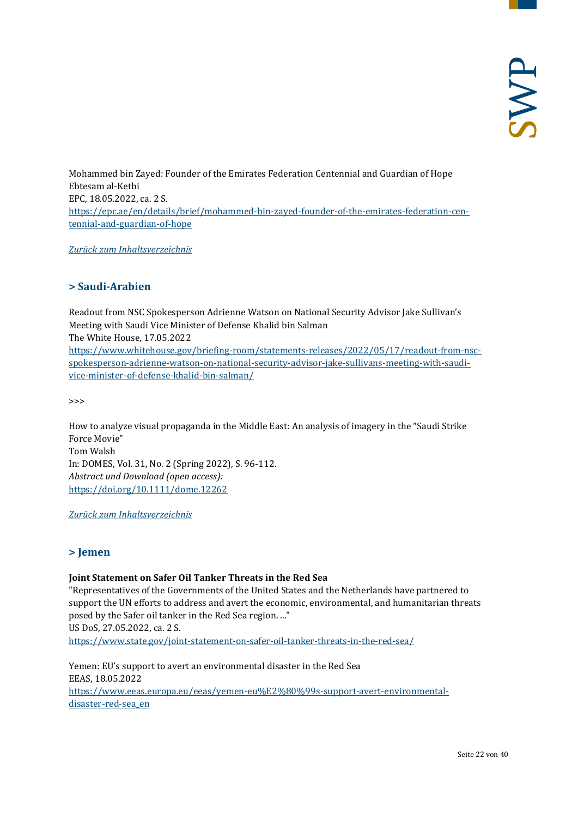Mohammed bin Zayed: Founder of the Emirates Federation Centennial and Guardian of Hope Ebtesam al-Ketbi EPC, 18.05.2022, ca. 2 S. [https://epc.ae/en/details/brief/mohammed-bin-zayed-founder-of-the-emirates-federation-cen](https://epc.ae/en/details/brief/mohammed-bin-zayed-founder-of-the-emirates-federation-centennial-and-guardian-of-hope)[tennial-and-guardian-of-hope](https://epc.ae/en/details/brief/mohammed-bin-zayed-founder-of-the-emirates-federation-centennial-and-guardian-of-hope)

<span id="page-21-0"></span>*[Zurück zum Inhaltsverzeichnis](#page-0-0)*

## **> Saudi-Arabien**

Readout from NSC Spokesperson Adrienne Watson on National Security Advisor Jake Sullivan's Meeting with Saudi Vice Minister of Defense Khalid bin Salman The White House, 17.05.2022 [https://www.whitehouse.gov/briefing-room/statements-releases/2022/05/17/readout-from-nsc](https://www.whitehouse.gov/briefing-room/statements-releases/2022/05/17/readout-from-nsc-spokesperson-adrienne-watson-on-national-security-advisor-jake-sullivans-meeting-with-saudi-vice-minister-of-defense-khalid-bin-salman/)[spokesperson-adrienne-watson-on-national-security-advisor-jake-sullivans-meeting-with-saudi](https://www.whitehouse.gov/briefing-room/statements-releases/2022/05/17/readout-from-nsc-spokesperson-adrienne-watson-on-national-security-advisor-jake-sullivans-meeting-with-saudi-vice-minister-of-defense-khalid-bin-salman/)[vice-minister-of-defense-khalid-bin-salman/](https://www.whitehouse.gov/briefing-room/statements-releases/2022/05/17/readout-from-nsc-spokesperson-adrienne-watson-on-national-security-advisor-jake-sullivans-meeting-with-saudi-vice-minister-of-defense-khalid-bin-salman/)

>>>

How to analyze visual propaganda in the Middle East: An analysis of imagery in the "Saudi Strike Force Movie" Tom Walsh In: DOMES, Vol. 31, No. 2 (Spring 2022), S. 96-112. *Abstract und Download (open access):* <https://doi.org/10.1111/dome.12262>

<span id="page-21-1"></span>*[Zurück zum Inhaltsverzeichnis](#page-0-0)*

## **> Jemen**

#### **Joint Statement on Safer Oil Tanker Threats in the Red Sea**

"Representatives of the Governments of the United States and the Netherlands have partnered to support the UN efforts to address and avert the economic, environmental, and humanitarian threats posed by the Safer oil tanker in the Red Sea region. ..." US DoS, 27.05.2022, ca. 2 S. <https://www.state.gov/joint-statement-on-safer-oil-tanker-threats-in-the-red-sea/>

Yemen: EU's support to avert an environmental disaster in the Red Sea EEAS, 18.05.2022 [https://www.eeas.europa.eu/eeas/yemen-eu%E2%80%99s-support-avert-environmental](https://www.eeas.europa.eu/eeas/yemen-eu%E2%80%99s-support-avert-environmental-disaster-red-sea_en)[disaster-red-sea\\_en](https://www.eeas.europa.eu/eeas/yemen-eu%E2%80%99s-support-avert-environmental-disaster-red-sea_en)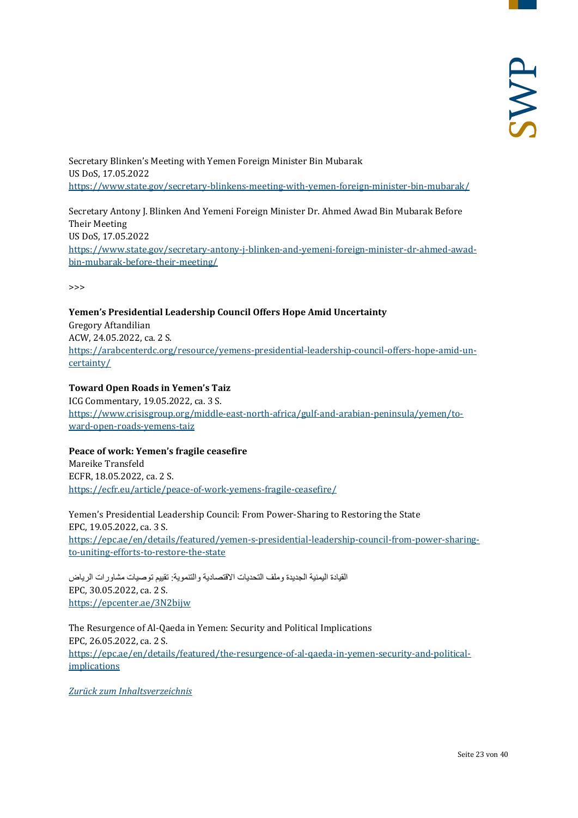Secretary Blinken's Meeting with Yemen Foreign Minister Bin Mubarak US DoS, 17.05.2022 <https://www.state.gov/secretary-blinkens-meeting-with-yemen-foreign-minister-bin-mubarak/>

Secretary Antony J. Blinken And Yemeni Foreign Minister Dr. Ahmed Awad Bin Mubarak Before Their Meeting US DoS, 17.05.2022 [https://www.state.gov/secretary-antony-j-blinken-and-yemeni-foreign-minister-dr-ahmed-awad](https://www.state.gov/secretary-antony-j-blinken-and-yemeni-foreign-minister-dr-ahmed-awad-bin-mubarak-before-their-meeting/)[bin-mubarak-before-their-meeting/](https://www.state.gov/secretary-antony-j-blinken-and-yemeni-foreign-minister-dr-ahmed-awad-bin-mubarak-before-their-meeting/)

>>>

## **Yemen's Presidential Leadership Council Offers Hope Amid Uncertainty**

Gregory Aftandilian ACW, 24.05.2022, ca. 2 S. [https://arabcenterdc.org/resource/yemens-presidential-leadership-council-offers-hope-amid-un](https://arabcenterdc.org/resource/yemens-presidential-leadership-council-offers-hope-amid-uncertainty/)[certainty/](https://arabcenterdc.org/resource/yemens-presidential-leadership-council-offers-hope-amid-uncertainty/)

## **Toward Open Roads in Yemen's Taiz**

ICG Commentary, 19.05.2022, ca. 3 S. [https://www.crisisgroup.org/middle-east-north-africa/gulf-and-arabian-peninsula/yemen/to](https://www.crisisgroup.org/middle-east-north-africa/gulf-and-arabian-peninsula/yemen/toward-open-roads-yemens-taiz)[ward-open-roads-yemens-taiz](https://www.crisisgroup.org/middle-east-north-africa/gulf-and-arabian-peninsula/yemen/toward-open-roads-yemens-taiz)

## **Peace of work: Yemen's fragile ceasefire**

Mareike Transfeld ECFR, 18.05.2022, ca. 2 S. <https://ecfr.eu/article/peace-of-work-yemens-fragile-ceasefire/>

Yemen's Presidential Leadership Council: From Power-Sharing to Restoring the State EPC, 19.05.2022, ca. 3 S. [https://epc.ae/en/details/featured/yemen-s-presidential-leadership-council-from-power-sharing](https://epc.ae/en/details/featured/yemen-s-presidential-leadership-council-from-power-sharing-to-uniting-efforts-to-restore-the-state)[to-uniting-efforts-to-restore-the-state](https://epc.ae/en/details/featured/yemen-s-presidential-leadership-council-from-power-sharing-to-uniting-efforts-to-restore-the-state)

القیادة الیمنیة الجدیدة وملف التحدیات الاقتصادیة والتنمویة: تقییم توصیات مشاورات الریاض EPC, 30.05.2022, ca. 2 S. <https://epcenter.ae/3N2bijw>

The Resurgence of Al-Qaeda in Yemen: Security and Political Implications EPC, 26.05.2022, ca. 2 S. [https://epc.ae/en/details/featured/the-resurgence-of-al-qaeda-in-yemen-security-and-political](https://epc.ae/en/details/featured/the-resurgence-of-al-qaeda-in-yemen-security-and-political-implications)[implications](https://epc.ae/en/details/featured/the-resurgence-of-al-qaeda-in-yemen-security-and-political-implications)

*[Zurück zum Inhaltsverzeichnis](#page-0-0)*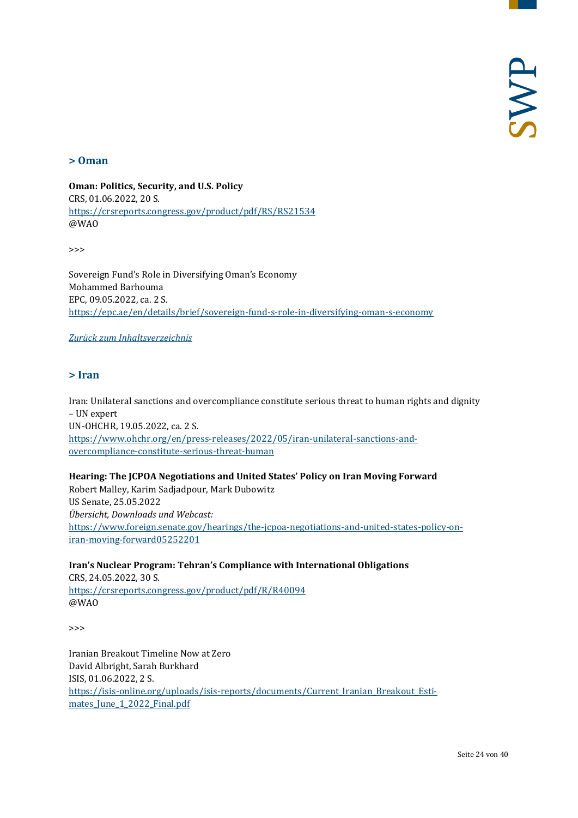#### <span id="page-23-0"></span>**> Oman**

**Oman: Politics, Security, and U.S. Policy** CRS, 01.06.2022, 20 S. <https://crsreports.congress.gov/product/pdf/RS/RS21534> @WAO

>>>

Sovereign Fund's Role in Diversifying Oman's Economy Mohammed Barhouma EPC, 09.05.2022, ca. 2 S. <https://epc.ae/en/details/brief/sovereign-fund-s-role-in-diversifying-oman-s-economy>

<span id="page-23-1"></span>*[Zurück zum Inhaltsverzeichnis](#page-0-0)*

## **> Iran**

Iran: Unilateral sanctions and overcompliance constitute serious threat to human rights and dignity – UN expert UN-OHCHR, 19.05.2022, ca. 2 S. [https://www.ohchr.org/en/press-releases/2022/05/iran-unilateral-sanctions-and](https://www.ohchr.org/en/press-releases/2022/05/iran-unilateral-sanctions-and-overcompliance-constitute-serious-threat-human)[overcompliance-constitute-serious-threat-human](https://www.ohchr.org/en/press-releases/2022/05/iran-unilateral-sanctions-and-overcompliance-constitute-serious-threat-human)

**Hearing: The JCPOA Negotiations and United States' Policy on Iran Moving Forward**  Robert Malley, Karim Sadjadpour, Mark Dubowitz US Senate, 25.05.2022 *Übersicht, Downloads und Webcast:* [https://www.foreign.senate.gov/hearings/the-jcpoa-negotiations-and-united-states-policy-on](https://www.foreign.senate.gov/hearings/the-jcpoa-negotiations-and-united-states-policy-on-iran-moving-forward05252201)[iran-moving-forward05252201](https://www.foreign.senate.gov/hearings/the-jcpoa-negotiations-and-united-states-policy-on-iran-moving-forward05252201)

**Iran's Nuclear Program: Tehran's Compliance with International Obligations**

CRS, 24.05.2022, 30 S. <https://crsreports.congress.gov/product/pdf/R/R40094> @WAO

 $\rightarrow$ 

Iranian Breakout Timeline Now at Zero David Albright, Sarah Burkhard ISIS, 01.06.2022, 2 S. [https://isis-online.org/uploads/isis-reports/documents/Current\\_Iranian\\_Breakout\\_Esti](https://isis-online.org/uploads/isis-reports/documents/Current_Iranian_Breakout_Estimates_June_1_2022_Final.pdf)mates June 1 2022 Final.pdf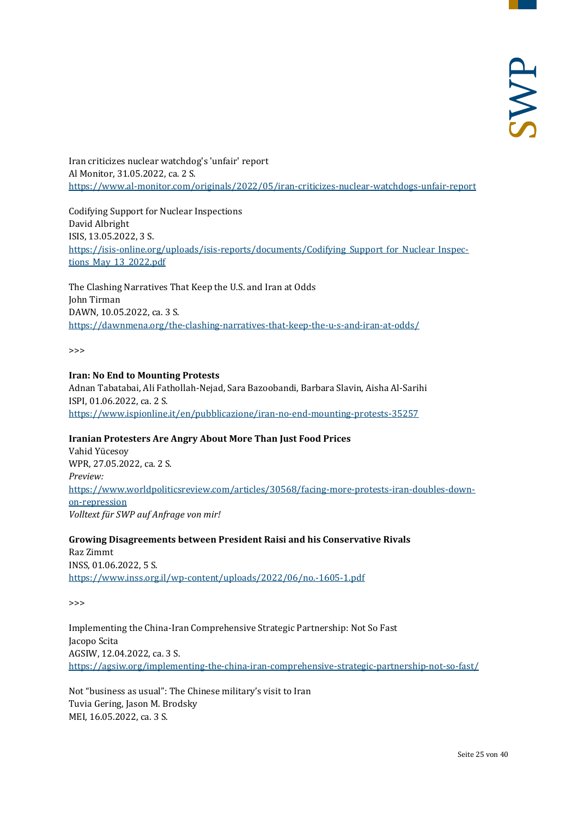Iran criticizes nuclear watchdog's 'unfair' report Al Monitor, 31.05.2022, ca. 2 S. <https://www.al-monitor.com/originals/2022/05/iran-criticizes-nuclear-watchdogs-unfair-report>

Codifying Support for Nuclear Inspections David Albright ISIS, 13.05.2022, 3 S. [https://isis-online.org/uploads/isis-reports/documents/Codifying\\_Support\\_for\\_Nuclear\\_Inspec](https://isis-online.org/uploads/isis-reports/documents/Codifying_Support_for_Nuclear_Inspections_May_13_2022.pdf)[tions\\_May\\_13\\_2022.pdf](https://isis-online.org/uploads/isis-reports/documents/Codifying_Support_for_Nuclear_Inspections_May_13_2022.pdf)

The Clashing Narratives That Keep the U.S. and Iran at Odds John Tirman DAWN, 10.05.2022, ca. 3 S. <https://dawnmena.org/the-clashing-narratives-that-keep-the-u-s-and-iran-at-odds/>

 $\rightarrow$ 

#### **Iran: No End to Mounting Protests**

Adnan Tabatabai, Ali Fathollah-Nejad, Sara Bazoobandi, Barbara Slavin, Aisha Al-Sarihi ISPI, 01.06.2022, ca. 2 S. <https://www.ispionline.it/en/pubblicazione/iran-no-end-mounting-protests-35257>

## **Iranian Protesters Are Angry About More Than Just Food Prices**

Vahid Yücesoy WPR, 27.05.2022, ca. 2 S. *Preview:* [https://www.worldpoliticsreview.com/articles/30568/facing-more-protests-iran-doubles-down](https://www.worldpoliticsreview.com/articles/30568/facing-more-protests-iran-doubles-down-on-repression)[on-repression](https://www.worldpoliticsreview.com/articles/30568/facing-more-protests-iran-doubles-down-on-repression) *Volltext für SWP auf Anfrage von mir!*

**Growing Disagreements between President Raisi and his Conservative Rivals** Raz Zimmt INSS, 01.06.2022, 5 S. <https://www.inss.org.il/wp-content/uploads/2022/06/no.-1605-1.pdf>

>>>

Implementing the China-Iran Comprehensive Strategic Partnership: Not So Fast Jacopo Scita AGSIW, 12.04.2022, ca. 3 S. <https://agsiw.org/implementing-the-china-iran-comprehensive-strategic-partnership-not-so-fast/>

Not "business as usual": The Chinese military's visit to Iran Tuvia Gering, Jason M. Brodsky MEI, 16.05.2022, ca. 3 S.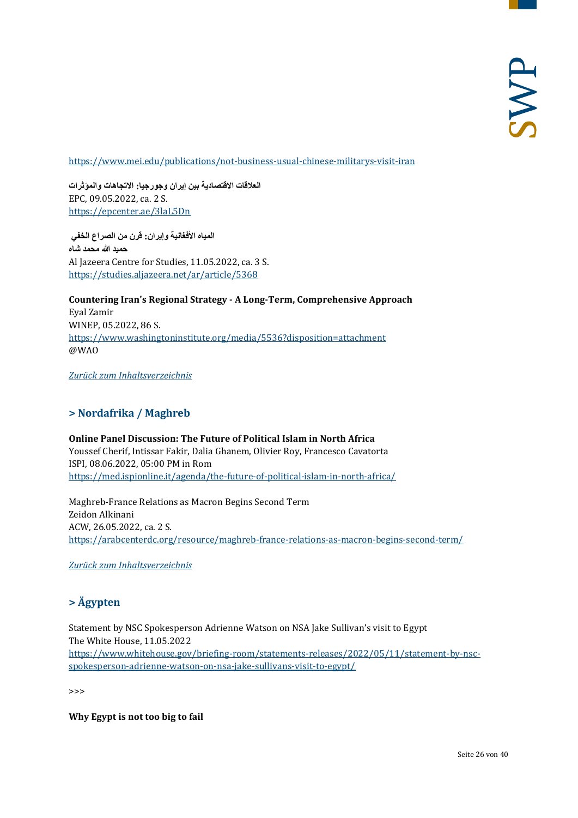<https://www.mei.edu/publications/not-business-usual-chinese-militarys-visit-iran>

**العلاقات الاقتصادیة بین إیران وجورجیا: الاتجاھات والمؤثرات** EPC, 09.05.2022, ca. 2 S. <https://epcenter.ae/3laL5Dn>

**المیاه الأفغانیة وإیران: قرن من الصراع الخفي حمید الله محمد شاه** Al Jazeera Centre for Studies, 11.05.2022, ca. 3 S. <https://studies.aljazeera.net/ar/article/5368>

**Countering Iran's Regional Strategy - A Long-Term, Comprehensive Approach** Eyal Zamir WINEP, 05.2022, 86 S. <https://www.washingtoninstitute.org/media/5536?disposition=attachment> @WAO

<span id="page-25-0"></span>*[Zurück zum Inhaltsverzeichnis](#page-0-0)*

## **> Nordafrika / Maghreb**

**Online Panel Discussion: The Future of Political Islam in North Africa** Youssef Cherif, Intissar Fakir, Dalia Ghanem, Olivier Roy, Francesco Cavatorta ISPI, 08.06.2022, 05:00 PM in Rom <https://med.ispionline.it/agenda/the-future-of-political-islam-in-north-africa/>

Maghreb-France Relations as Macron Begins Second Term Zeidon Alkinani ACW, 26.05.2022, ca. 2 S. <https://arabcenterdc.org/resource/maghreb-france-relations-as-macron-begins-second-term/>

<span id="page-25-1"></span>*[Zurück zum Inhaltsverzeichnis](#page-0-0)*

## **> Ägypten**

Statement by NSC Spokesperson Adrienne Watson on NSA Jake Sullivan's visit to Egypt The White House, 11.05.2022 [https://www.whitehouse.gov/briefing-room/statements-releases/2022/05/11/statement-by-nsc](https://www.whitehouse.gov/briefing-room/statements-releases/2022/05/11/statement-by-nsc-spokesperson-adrienne-watson-on-nsa-jake-sullivans-visit-to-egypt/)[spokesperson-adrienne-watson-on-nsa-jake-sullivans-visit-to-egypt/](https://www.whitehouse.gov/briefing-room/statements-releases/2022/05/11/statement-by-nsc-spokesperson-adrienne-watson-on-nsa-jake-sullivans-visit-to-egypt/)

>>>

**Why Egypt is not too big to fail**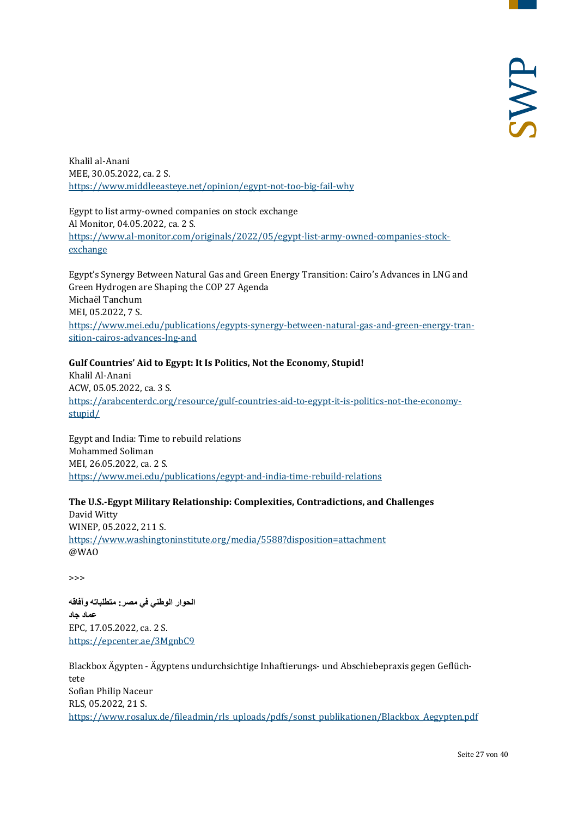Khalil al-Anani MEE, 30.05.2022, ca. 2 S. <https://www.middleeasteye.net/opinion/egypt-not-too-big-fail-why>

Egypt to list army-owned companies on stock exchange Al Monitor, 04.05.2022, ca. 2 S. [https://www.al-monitor.com/originals/2022/05/egypt-list-army-owned-companies-stock](https://www.al-monitor.com/originals/2022/05/egypt-list-army-owned-companies-stock-exchange)[exchange](https://www.al-monitor.com/originals/2022/05/egypt-list-army-owned-companies-stock-exchange)

Egypt's Synergy Between Natural Gas and Green Energy Transition: Cairo's Advances in LNG and Green Hydrogen are Shaping the COP 27 Agenda Michaël Tanchum MEI, 05.2022, 7 S. [https://www.mei.edu/publications/egypts-synergy-between-natural-gas-and-green-energy-tran](https://www.mei.edu/publications/egypts-synergy-between-natural-gas-and-green-energy-transition-cairos-advances-lng-and)[sition-cairos-advances-lng-and](https://www.mei.edu/publications/egypts-synergy-between-natural-gas-and-green-energy-transition-cairos-advances-lng-and)

## **Gulf Countries' Aid to Egypt: It Is Politics, Not the Economy, Stupid!**

Khalil Al-Anani ACW, 05.05.2022, ca. 3 S. [https://arabcenterdc.org/resource/gulf-countries-aid-to-egypt-it-is-politics-not-the-economy](https://arabcenterdc.org/resource/gulf-countries-aid-to-egypt-it-is-politics-not-the-economy-stupid/)[stupid/](https://arabcenterdc.org/resource/gulf-countries-aid-to-egypt-it-is-politics-not-the-economy-stupid/)

Egypt and India: Time to rebuild relations Mohammed Soliman MEI, 26.05.2022, ca. 2 S. <https://www.mei.edu/publications/egypt-and-india-time-rebuild-relations>

## **The U.S.-Egypt Military Relationship: Complexities, Contradictions, and Challenges**

David Witty WINEP, 05.2022, 211 S. <https://www.washingtoninstitute.org/media/5588?disposition=attachment> @WAO

>>>

**الحوار الوطني في مصر: متطلباتھ وآفاقھ عماد جاد** EPC, 17.05.2022, ca. 2 S. <https://epcenter.ae/3MgnbC9>

Blackbox Ägypten - Ägyptens undurchsichtige Inhaftierungs- und Abschiebepraxis gegen Geflüchtete Sofian Philip Naceur RLS, 05.2022, 21 S. [https://www.rosalux.de/fileadmin/rls\\_uploads/pdfs/sonst\\_publikationen/Blackbox\\_Aegypten.pdf](https://www.rosalux.de/fileadmin/rls_uploads/pdfs/sonst_publikationen/Blackbox_Aegypten.pdf)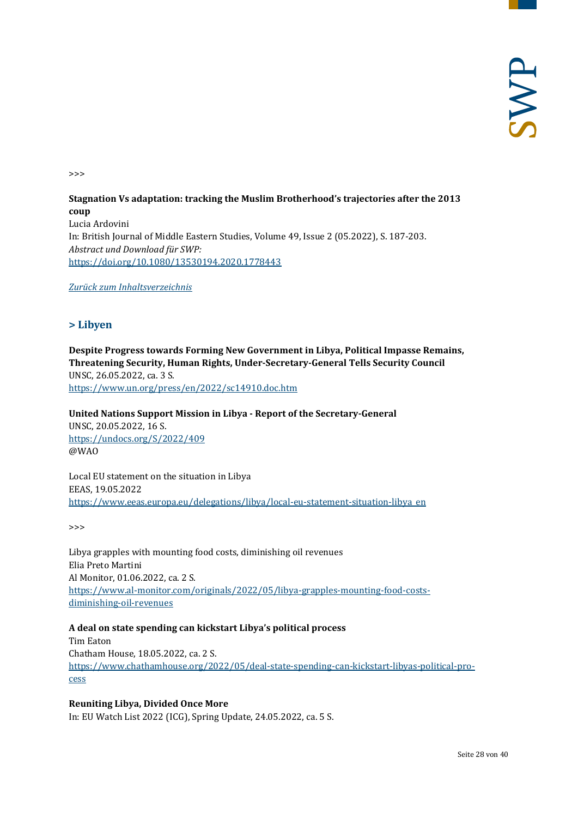>>>

## **Stagnation Vs adaptation: tracking the Muslim Brotherhood's trajectories after the 2013 coup** Lucia Ardovini In: British Journal of Middle Eastern Studies, Volume 49, Issue 2 (05.2022), S. 187-203. *Abstract und Download für SWP:* <https://doi.org/10.1080/13530194.2020.1778443>

## <span id="page-27-0"></span>*[Zurück zum Inhaltsverzeichnis](#page-0-0)*

## **> Libyen**

**Despite Progress towards Forming New Government in Libya, Political Impasse Remains, Threatening Security, Human Rights, Under-Secretary-General Tells Security Council** UNSC, 26.05.2022, ca. 3 S. <https://www.un.org/press/en/2022/sc14910.doc.htm>

**United Nations Support Mission in Libya - Report of the Secretary-General**

UNSC, 20.05.2022, 16 S. <https://undocs.org/S/2022/409> @WAO

Local EU statement on the situation in Libya EEAS, 19.05.2022 [https://www.eeas.europa.eu/delegations/libya/local-eu-statement-situation-libya\\_en](https://www.eeas.europa.eu/delegations/libya/local-eu-statement-situation-libya_en)

>>>

Libya grapples with mounting food costs, diminishing oil revenues Elia Preto Martini Al Monitor, 01.06.2022, ca. 2 S. [https://www.al-monitor.com/originals/2022/05/libya-grapples-mounting-food-costs](https://www.al-monitor.com/originals/2022/05/libya-grapples-mounting-food-costs-diminishing-oil-revenues)[diminishing-oil-revenues](https://www.al-monitor.com/originals/2022/05/libya-grapples-mounting-food-costs-diminishing-oil-revenues)

## **A deal on state spending can kickstart Libya's political process**

Tim Eaton Chatham House, 18.05.2022, ca. 2 S. [https://www.chathamhouse.org/2022/05/deal-state-spending-can-kickstart-libyas-political-pro](https://www.chathamhouse.org/2022/05/deal-state-spending-can-kickstart-libyas-political-process)[cess](https://www.chathamhouse.org/2022/05/deal-state-spending-can-kickstart-libyas-political-process)

## **Reuniting Libya, Divided Once More**

In: EU Watch List 2022 (ICG), Spring Update, 24.05.2022, ca. 5 S.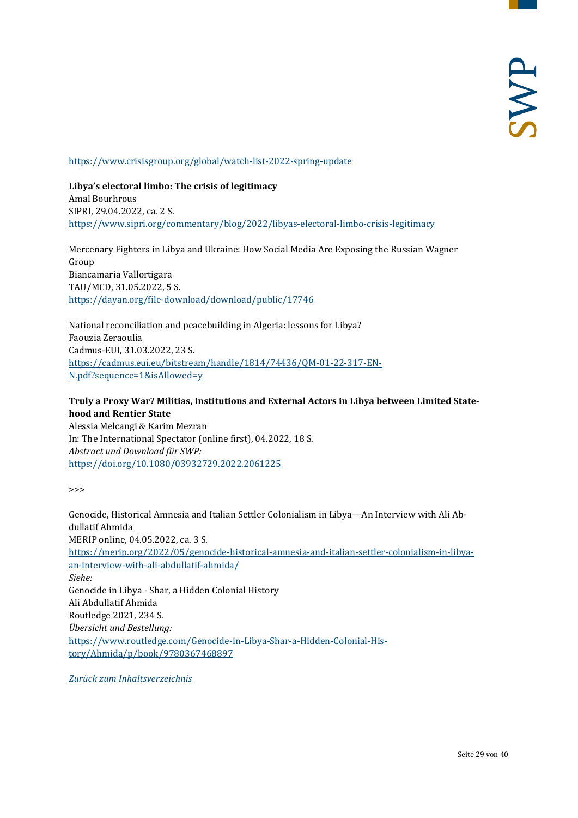<https://www.crisisgroup.org/global/watch-list-2022-spring-update>

**Libya's electoral limbo: The crisis of legitimacy** Amal Bourhrous SIPRI, 29.04.2022, ca. 2 S. <https://www.sipri.org/commentary/blog/2022/libyas-electoral-limbo-crisis-legitimacy>

Mercenary Fighters in Libya and Ukraine: How Social Media Are Exposing the Russian Wagner Group Biancamaria Vallortigara TAU/MCD, 31.05.2022, 5 S. <https://dayan.org/file-download/download/public/17746>

National reconciliation and peacebuilding in Algeria: lessons for Libya? Faouzia Zeraoulia Cadmus-EUI, 31.03.2022, 23 S. [https://cadmus.eui.eu/bitstream/handle/1814/74436/QM-01-22-317-EN-](https://cadmus.eui.eu/bitstream/handle/1814/74436/QM-01-22-317-EN-N.pdf?sequence=1&isAllowed=y)[N.pdf?sequence=1&isAllowed=y](https://cadmus.eui.eu/bitstream/handle/1814/74436/QM-01-22-317-EN-N.pdf?sequence=1&isAllowed=y)

## **Truly a Proxy War? Militias, Institutions and External Actors in Libya between Limited Statehood and Rentier State**

Alessia Melcangi & Karim Mezran In: The International Spectator (online first), 04.2022, 18 S. *Abstract und Download für SWP:* <https://doi.org/10.1080/03932729.2022.2061225>

 $\rightarrow$ 

Genocide, Historical Amnesia and Italian Settler Colonialism in Libya—An Interview with Ali Abdullatif Ahmida MERIP online, 04.05.2022, ca. 3 S. [https://merip.org/2022/05/genocide-historical-amnesia-and-italian-settler-colonialism-in-libya](https://merip.org/2022/05/genocide-historical-amnesia-and-italian-settler-colonialism-in-libya-an-interview-with-ali-abdullatif-ahmida/)[an-interview-with-ali-abdullatif-ahmida/](https://merip.org/2022/05/genocide-historical-amnesia-and-italian-settler-colonialism-in-libya-an-interview-with-ali-abdullatif-ahmida/) *Siehe:* Genocide in Libya - Shar, a Hidden Colonial History Ali Abdullatif Ahmida Routledge 2021, 234 S. *Übersicht und Bestellung:* [https://www.routledge.com/Genocide-in-Libya-Shar-a-Hidden-Colonial-His](https://www.routledge.com/Genocide-in-Libya-Shar-a-Hidden-Colonial-History/Ahmida/p/book/9780367468897)[tory/Ahmida/p/book/9780367468897](https://www.routledge.com/Genocide-in-Libya-Shar-a-Hidden-Colonial-History/Ahmida/p/book/9780367468897)

*[Zurück zum Inhaltsverzeichnis](#page-0-0)*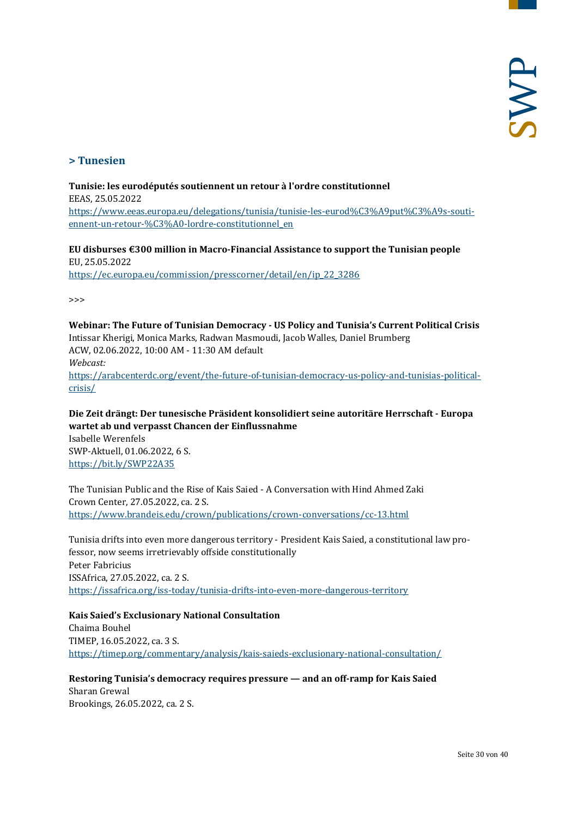## <span id="page-29-0"></span>**> Tunesien**

## **Tunisie: les eurodéputés soutiennent un retour à l'ordre constitutionnel** EEAS, 25.05.2022 [https://www.eeas.europa.eu/delegations/tunisia/tunisie-les-eurod%C3%A9put%C3%A9s-souti](https://www.eeas.europa.eu/delegations/tunisia/tunisie-les-eurod%C3%A9put%C3%A9s-soutiennent-un-retour-%C3%A0-lordre-constitutionnel_en)[ennent-un-retour-%C3%A0-lordre-constitutionnel\\_en](https://www.eeas.europa.eu/delegations/tunisia/tunisie-les-eurod%C3%A9put%C3%A9s-soutiennent-un-retour-%C3%A0-lordre-constitutionnel_en)

**EU disburses €300 million in Macro-Financial Assistance to support the Tunisian people** EU, 25.05.2022 [https://ec.europa.eu/commission/presscorner/detail/en/ip\\_22\\_3286](https://ec.europa.eu/commission/presscorner/detail/en/ip_22_3286)

>>>

**Webinar: The Future of Tunisian Democracy - US Policy and Tunisia's Current Political Crisis** Intissar Kherigi, Monica Marks, Radwan Masmoudi, Jacob Walles, Daniel Brumberg ACW, 02.06.2022, 10:00 AM - 11:30 AM default *Webcast:* [https://arabcenterdc.org/event/the-future-of-tunisian-democracy-us-policy-and-tunisias-political](https://arabcenterdc.org/event/the-future-of-tunisian-democracy-us-policy-and-tunisias-political-crisis/)[crisis/](https://arabcenterdc.org/event/the-future-of-tunisian-democracy-us-policy-and-tunisias-political-crisis/)

**Die Zeit drängt: Der tunesische Präsident konsolidiert seine autoritäre Herrschaft - Europa wartet ab und verpasst Chancen der Einflussnahme** Isabelle Werenfels SWP-Aktuell, 01.06.2022, 6 S. <https://bit.ly/SWP22A35>

The Tunisian Public and the Rise of Kais Saied - A Conversation with Hind Ahmed Zaki Crown Center, 27.05.2022, ca. 2 S. <https://www.brandeis.edu/crown/publications/crown-conversations/cc-13.html>

Tunisia drifts into even more dangerous territory - President Kais Saied, a constitutional law professor, now seems irretrievably offside constitutionally Peter Fabricius ISSAfrica, 27.05.2022, ca. 2 S. <https://issafrica.org/iss-today/tunisia-drifts-into-even-more-dangerous-territory>

**Kais Saied's Exclusionary National Consultation** Chaima Bouhel TIMEP, 16.05.2022, ca. 3 S. <https://timep.org/commentary/analysis/kais-saieds-exclusionary-national-consultation/>

**Restoring Tunisia's democracy requires pressure — and an off-ramp for Kais Saied** Sharan Grewal Brookings, 26.05.2022, ca. 2 S.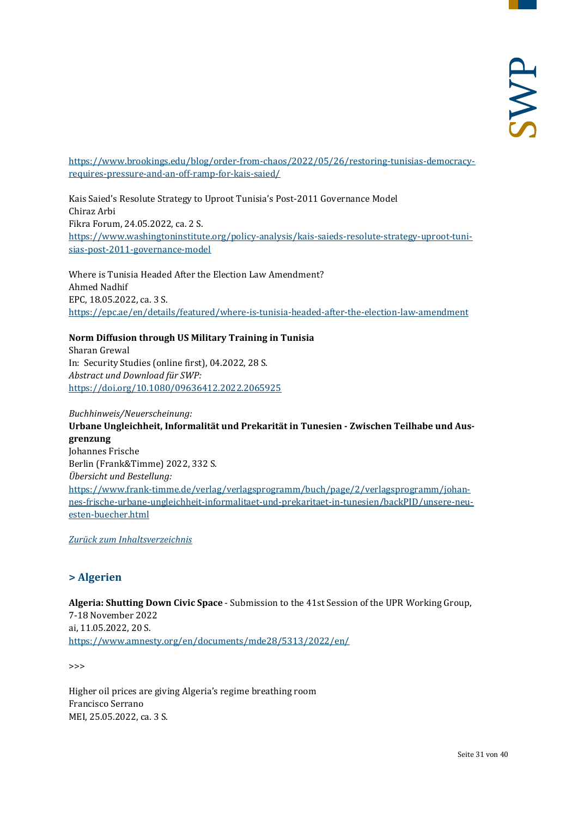[https://www.brookings.edu/blog/order-from-chaos/2022/05/26/restoring-tunisias-democracy](https://www.brookings.edu/blog/order-from-chaos/2022/05/26/restoring-tunisias-democracy-requires-pressure-and-an-off-ramp-for-kais-saied/)[requires-pressure-and-an-off-ramp-for-kais-saied/](https://www.brookings.edu/blog/order-from-chaos/2022/05/26/restoring-tunisias-democracy-requires-pressure-and-an-off-ramp-for-kais-saied/)

Kais Saied's Resolute Strategy to Uproot Tunisia's Post-2011 Governance Model Chiraz Arbi Fikra Forum, 24.05.2022, ca. 2 S. [https://www.washingtoninstitute.org/policy-analysis/kais-saieds-resolute-strategy-uproot-tuni](https://www.washingtoninstitute.org/policy-analysis/kais-saieds-resolute-strategy-uproot-tunisias-post-2011-governance-model)[sias-post-2011-governance-model](https://www.washingtoninstitute.org/policy-analysis/kais-saieds-resolute-strategy-uproot-tunisias-post-2011-governance-model)

Where is Tunisia Headed After the Election Law Amendment? Ahmed Nadhif EPC, 18.05.2022, ca. 3 S. <https://epc.ae/en/details/featured/where-is-tunisia-headed-after-the-election-law-amendment>

## **Norm Diffusion through US Military Training in Tunisia**

Sharan Grewal In: Security Studies (online first), 04.2022, 28 S. *Abstract und Download für SWP:* <https://doi.org/10.1080/09636412.2022.2065925>

#### *Buchhinweis/Neuerscheinung:*

**Urbane Ungleichheit, Informalität und Prekarität in Tunesien - Zwischen Teilhabe und Ausgrenzung** Johannes Frische Berlin (Frank&Timme) 2022, 332 S. *Übersicht und Bestellung:* [https://www.frank-timme.de/verlag/verlagsprogramm/buch/page/2/verlagsprogramm/johan](https://www.frank-timme.de/verlag/verlagsprogramm/buch/page/2/verlagsprogramm/johannes-frische-urbane-ungleichheit-informalitaet-und-prekaritaet-in-tunesien/backPID/unsere-neuesten-buecher.html)[nes-frische-urbane-ungleichheit-informalitaet-und-prekaritaet-in-tunesien/backPID/unsere-neu](https://www.frank-timme.de/verlag/verlagsprogramm/buch/page/2/verlagsprogramm/johannes-frische-urbane-ungleichheit-informalitaet-und-prekaritaet-in-tunesien/backPID/unsere-neuesten-buecher.html)[esten-buecher.html](https://www.frank-timme.de/verlag/verlagsprogramm/buch/page/2/verlagsprogramm/johannes-frische-urbane-ungleichheit-informalitaet-und-prekaritaet-in-tunesien/backPID/unsere-neuesten-buecher.html)

<span id="page-30-0"></span>*[Zurück zum Inhaltsverzeichnis](#page-0-0)*

## **> Algerien**

**Algeria: Shutting Down Civic Space** - Submission to the 41st Session of the UPR Working Group, 7-18 November 2022 ai, 11.05.2022, 20 S. <https://www.amnesty.org/en/documents/mde28/5313/2022/en/>

>>>

Higher oil prices are giving Algeria's regime breathing room Francisco Serrano MEI, 25.05.2022, ca. 3 S.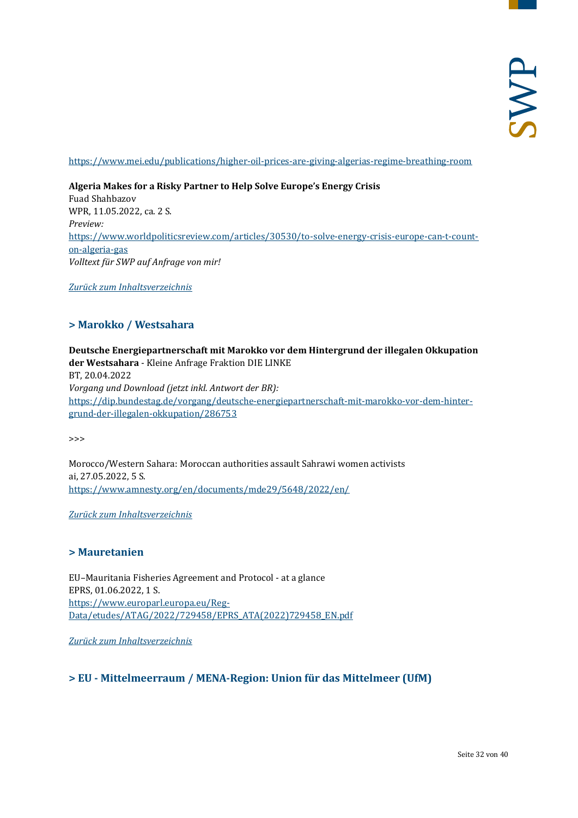<https://www.mei.edu/publications/higher-oil-prices-are-giving-algerias-regime-breathing-room>

## **Algeria Makes for a Risky Partner to Help Solve Europe's Energy Crisis**

Fuad Shahbazov WPR, 11.05.2022, ca. 2 S. *Preview:* [https://www.worldpoliticsreview.com/articles/30530/to-solve-energy-crisis-europe-can-t-count](https://www.worldpoliticsreview.com/articles/30530/to-solve-energy-crisis-europe-can-t-count-on-algeria-gas)[on-algeria-gas](https://www.worldpoliticsreview.com/articles/30530/to-solve-energy-crisis-europe-can-t-count-on-algeria-gas) *Volltext für SWP auf Anfrage von mir!*

<span id="page-31-0"></span>*[Zurück zum Inhaltsverzeichnis](#page-0-0)*

## **> Marokko / Westsahara**

**Deutsche Energiepartnerschaft mit Marokko vor dem Hintergrund der illegalen Okkupation der Westsahara** - Kleine Anfrage Fraktion DIE LINKE BT, 20.04.2022 *Vorgang und Download (jetzt inkl. Antwort der BR):* [https://dip.bundestag.de/vorgang/deutsche-energiepartnerschaft-mit-marokko-vor-dem-hinter](https://dip.bundestag.de/vorgang/deutsche-energiepartnerschaft-mit-marokko-vor-dem-hintergrund-der-illegalen-okkupation/286753)[grund-der-illegalen-okkupation/286753](https://dip.bundestag.de/vorgang/deutsche-energiepartnerschaft-mit-marokko-vor-dem-hintergrund-der-illegalen-okkupation/286753)

>>>

Morocco/Western Sahara: Moroccan authorities assault Sahrawi women activists ai, 27.05.2022, 5 S. <https://www.amnesty.org/en/documents/mde29/5648/2022/en/>

<span id="page-31-1"></span>*[Zurück zum Inhaltsverzeichnis](#page-0-0)*

## **> Mauretanien**

EU–Mauritania Fisheries Agreement and Protocol - at a glance EPRS, 01.06.2022, 1 S. [https://www.europarl.europa.eu/Reg-](https://www.europarl.europa.eu/RegData/etudes/ATAG/2022/729458/EPRS_ATA(2022)729458_EN.pdf)[Data/etudes/ATAG/2022/729458/EPRS\\_ATA\(2022\)729458\\_EN.pdf](https://www.europarl.europa.eu/RegData/etudes/ATAG/2022/729458/EPRS_ATA(2022)729458_EN.pdf)

<span id="page-31-2"></span>*[Zurück zum Inhaltsverzeichnis](#page-0-0)*

## **> EU - Mittelmeerraum / MENA-Region: Union für das Mittelmeer (UfM)**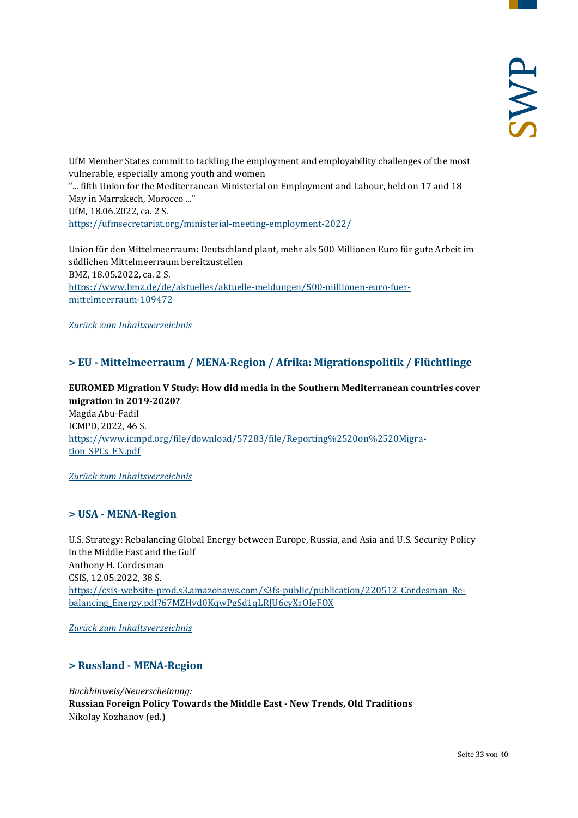UfM Member States commit to tackling the employment and employability challenges of the most vulnerable, especially among youth and women "... fifth Union for the Mediterranean Ministerial on Employment and Labour, held on 17 and 18 May in Marrakech, Morocco ..." UfM, 18.06.2022, ca. 2 S. <https://ufmsecretariat.org/ministerial-meeting-employment-2022/>

Union für den Mittelmeerraum: Deutschland plant, mehr als 500 Millionen Euro für gute Arbeit im südlichen Mittelmeerraum bereitzustellen BMZ, 18.05.2022, ca. 2 S. [https://www.bmz.de/de/aktuelles/aktuelle-meldungen/500-millionen-euro-fuer](https://www.bmz.de/de/aktuelles/aktuelle-meldungen/500-millionen-euro-fuer-mittelmeerraum-109472)[mittelmeerraum-109472](https://www.bmz.de/de/aktuelles/aktuelle-meldungen/500-millionen-euro-fuer-mittelmeerraum-109472)

<span id="page-32-0"></span>*[Zurück zum Inhaltsverzeichnis](#page-0-0)*

## **> EU - Mittelmeerraum / MENA-Region / Afrika: Migrationspolitik / Flüchtlinge**

**EUROMED Migration V Study: How did media in the Southern Mediterranean countries cover migration in 2019-2020?** Magda Abu-Fadil ICMPD, 2022, 46 S. [https://www.icmpd.org/file/download/57283/file/Reporting%2520on%2520Migra](https://www.icmpd.org/file/download/57283/file/Reporting%2520on%2520Migration_SPCs_EN.pdf)[tion\\_SPCs\\_EN.pdf](https://www.icmpd.org/file/download/57283/file/Reporting%2520on%2520Migration_SPCs_EN.pdf)

<span id="page-32-1"></span>*[Zurück zum Inhaltsverzeichnis](#page-0-0)*

## **> USA - MENA-Region**

U.S. Strategy: Rebalancing Global Energy between Europe, Russia, and Asia and U.S. Security Policy in the Middle East and the Gulf Anthony H. Cordesman CSIS, 12.05.2022, 38 S. [https://csis-website-prod.s3.amazonaws.com/s3fs-public/publication/220512\\_Cordesman\\_Re](https://csis-website-prod.s3.amazonaws.com/s3fs-public/publication/220512_Cordesman_Rebalancing_Energy.pdf?67MZHvd0KqwPgSd1qLRJU6cyXrOIeFOX)[balancing\\_Energy.pdf?67MZHvd0KqwPgSd1qLRJU6cyXrOIeFOX](https://csis-website-prod.s3.amazonaws.com/s3fs-public/publication/220512_Cordesman_Rebalancing_Energy.pdf?67MZHvd0KqwPgSd1qLRJU6cyXrOIeFOX)

<span id="page-32-2"></span>*[Zurück zum Inhaltsverzeichnis](#page-0-0)*

## **> Russland - MENA-Region**

*Buchhinweis/Neuerscheinung:*

**Russian Foreign Policy Towards the Middle East - New Trends, Old Traditions** Nikolay Kozhanov (ed.)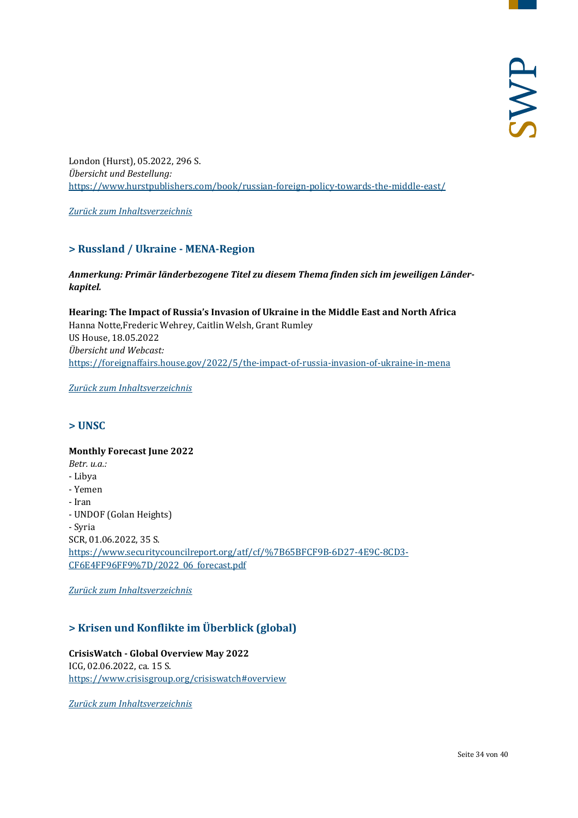London (Hurst), 05.2022, 296 S. *Übersicht und Bestellung:* <https://www.hurstpublishers.com/book/russian-foreign-policy-towards-the-middle-east/>

<span id="page-33-0"></span>*[Zurück zum Inhaltsverzeichnis](#page-0-0)*

## **> Russland / Ukraine - MENA-Region**

## *Anmerkung: Primär länderbezogene Titel zu diesem Thema finden sich im jeweiligen Länderkapitel.*

**Hearing: The Impact of Russia's Invasion of Ukraine in the Middle East and North Africa** Hanna Notte,Frederic Wehrey, Caitlin Welsh, Grant Rumley US House, 18.05.2022 *Übersicht und Webcast:* <https://foreignaffairs.house.gov/2022/5/the-impact-of-russia-invasion-of-ukraine-in-mena>

<span id="page-33-1"></span>*[Zurück zum Inhaltsverzeichnis](#page-0-0)*

## **> UNSC**

## **Monthly Forecast June 2022**  *Betr. u.a.:* - Libya - Yemen - Iran - UNDOF (Golan Heights) - Syria SCR, 01.06.2022, 35 S. [https://www.securitycouncilreport.org/atf/cf/%7B65BFCF9B-6D27-4E9C-8CD3-](https://www.securitycouncilreport.org/atf/cf/%7B65BFCF9B-6D27-4E9C-8CD3-CF6E4FF96FF9%7D/2022_06_forecast.pdf) [CF6E4FF96FF9%7D/2022\\_06\\_forecast.pdf](https://www.securitycouncilreport.org/atf/cf/%7B65BFCF9B-6D27-4E9C-8CD3-CF6E4FF96FF9%7D/2022_06_forecast.pdf)

<span id="page-33-2"></span>*[Zurück zum Inhaltsverzeichnis](#page-0-0)*

## **> Krisen und Konflikte im Überblick (global)**

## **CrisisWatch - Global Overview May 2022** ICG, 02.06.2022, ca. 15 S. <https://www.crisisgroup.org/crisiswatch#overview>

*[Zurück zum Inhaltsverzeichnis](#page-0-0)*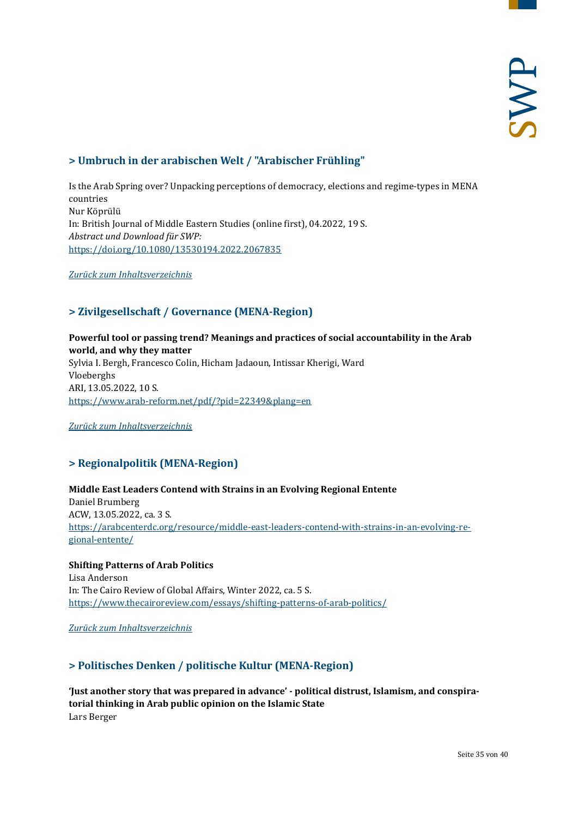## <span id="page-34-0"></span>**> Umbruch in der arabischen Welt / "Arabischer Frühling"**

Is the Arab Spring over? Unpacking perceptions of democracy, elections and regime-types in MENA countries Nur Köprülü In: British Journal of Middle Eastern Studies (online first), 04.2022, 19 S. *Abstract und Download für SWP:* <https://doi.org/10.1080/13530194.2022.2067835>

<span id="page-34-1"></span>*[Zurück zum Inhaltsverzeichnis](#page-0-0)*

## **> Zivilgesellschaft / Governance (MENA-Region)**

## **Powerful tool or passing trend? Meanings and practices of social accountability in the Arab world, and why they matter**

Sylvia I. Bergh, Francesco Colin, Hicham Jadaoun, Intissar Kherigi, Ward Vloeberghs ARI, 13.05.2022, 10 S. <https://www.arab-reform.net/pdf/?pid=22349&plang=en>

<span id="page-34-2"></span>*[Zurück zum Inhaltsverzeichnis](#page-0-0)*

## **> Regionalpolitik (MENA-Region)**

## **Middle East Leaders Contend with Strains in an Evolving Regional Entente** Daniel Brumberg ACW, 13.05.2022, ca. 3 S. [https://arabcenterdc.org/resource/middle-east-leaders-contend-with-strains-in-an-evolving-re](https://arabcenterdc.org/resource/middle-east-leaders-contend-with-strains-in-an-evolving-regional-entente/)[gional-entente/](https://arabcenterdc.org/resource/middle-east-leaders-contend-with-strains-in-an-evolving-regional-entente/)

## **Shifting Patterns of Arab Politics**

Lisa Anderson In: The Cairo Review of Global Affairs, Winter 2022, ca. 5 S. <https://www.thecairoreview.com/essays/shifting-patterns-of-arab-politics/>

<span id="page-34-3"></span>*[Zurück zum Inhaltsverzeichnis](#page-0-0)*

## **> Politisches Denken / politische Kultur (MENA-Region)**

**'Just another story that was prepared in advance' - political distrust, Islamism, and conspiratorial thinking in Arab public opinion on the Islamic State** Lars Berger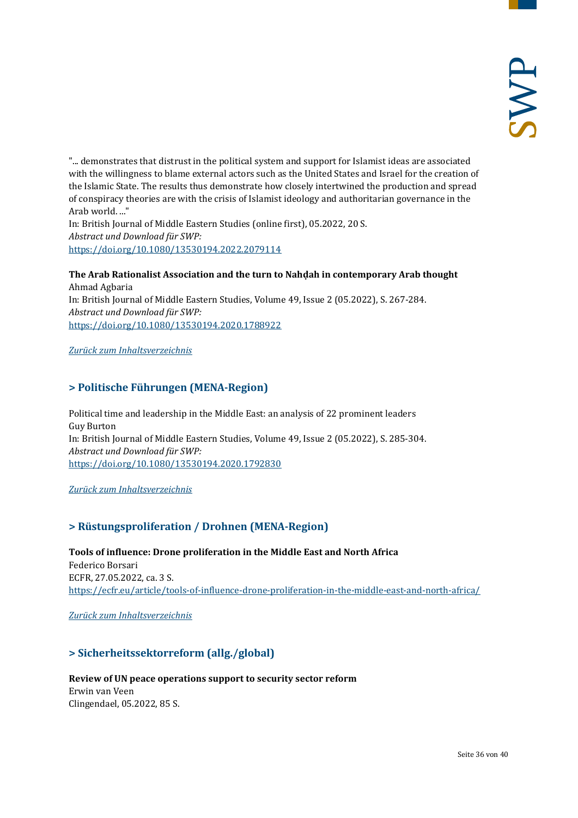"... demonstrates that distrust in the political system and support for Islamist ideas are associated with the willingness to blame external actors such as the United States and Israel for the creation of the Islamic State. The results thus demonstrate how closely intertwined the production and spread of conspiracy theories are with the crisis of Islamist ideology and authoritarian governance in the Arab world. ..." In: British Journal of Middle Eastern Studies (online first), 05.2022, 20 S. *Abstract und Download für SWP:*

<https://doi.org/10.1080/13530194.2022.2079114>

## **The Arab Rationalist Association and the turn to Nahḍah in contemporary Arab thought** Ahmad Agbaria

In: British Journal of Middle Eastern Studies, Volume 49, Issue 2 (05.2022), S. 267-284. *Abstract und Download für SWP:* <https://doi.org/10.1080/13530194.2020.1788922>

## <span id="page-35-0"></span>*[Zurück zum Inhaltsverzeichnis](#page-0-0)*

## **> Politische Führungen (MENA-Region)**

Political time and leadership in the Middle East: an analysis of 22 prominent leaders Guy Burton In: British Journal of Middle Eastern Studies, Volume 49, Issue 2 (05.2022), S. 285-304. *Abstract und Download für SWP:* <https://doi.org/10.1080/13530194.2020.1792830>

<span id="page-35-1"></span>*[Zurück zum Inhaltsverzeichnis](#page-0-0)*

## **> Rüstungsproliferation / Drohnen (MENA-Region)**

**Tools of influence: Drone proliferation in the Middle East and North Africa** Federico Borsari ECFR, 27.05.2022, ca. 3 S. <https://ecfr.eu/article/tools-of-influence-drone-proliferation-in-the-middle-east-and-north-africa/>

<span id="page-35-2"></span>*[Zurück zum Inhaltsverzeichnis](#page-0-0)*

## **> Sicherheitssektorreform (allg./global)**

## **Review of UN peace operations support to security sector reform**

Erwin van Veen Clingendael, 05.2022, 85 S.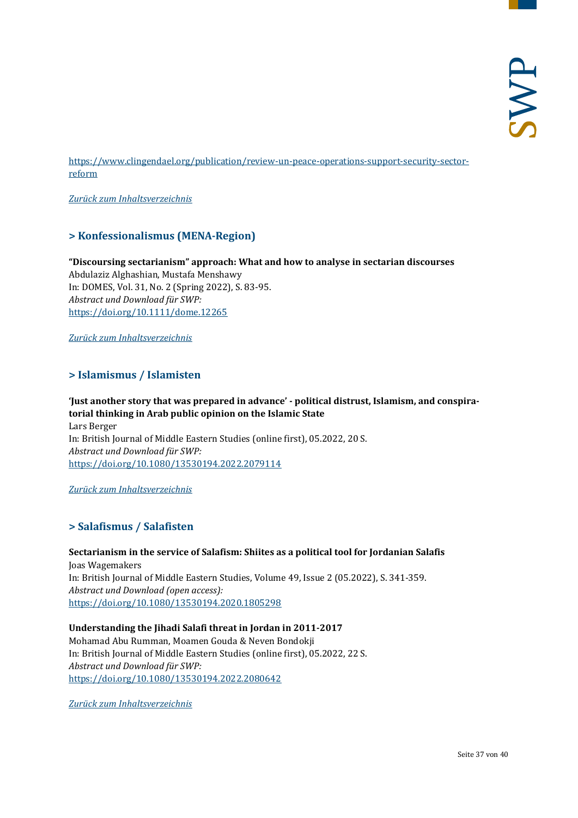[https://www.clingendael.org/publication/review-un-peace-operations-support-security-sector](https://www.clingendael.org/publication/review-un-peace-operations-support-security-sector-reform)[reform](https://www.clingendael.org/publication/review-un-peace-operations-support-security-sector-reform)

<span id="page-36-0"></span>*[Zurück zum Inhaltsverzeichnis](#page-0-0)*

## **> Konfessionalismus (MENA-Region)**

## **"Discoursing sectarianism" approach: What and how to analyse in sectarian discourses** Abdulaziz Alghashian, Mustafa Menshawy In: DOMES, Vol. 31, No. 2 (Spring 2022), S. 83-95. *Abstract und Download für SWP:* <https://doi.org/10.1111/dome.12265>

<span id="page-36-1"></span>*[Zurück zum Inhaltsverzeichnis](#page-0-0)*

## **> Islamismus / Islamisten**

## **'Just another story that was prepared in advance' - political distrust, Islamism, and conspiratorial thinking in Arab public opinion on the Islamic State**

Lars Berger In: British Journal of Middle Eastern Studies (online first), 05.2022, 20 S. *Abstract und Download für SWP:* <https://doi.org/10.1080/13530194.2022.2079114>

<span id="page-36-2"></span>*[Zurück zum Inhaltsverzeichnis](#page-0-0)*

## **> Salafismus / Salafisten**

**Sectarianism in the service of Salafism: Shiites as a political tool for Jordanian Salafis** Joas Wagemakers In: British Journal of Middle Eastern Studies, Volume 49, Issue 2 (05.2022), S. 341-359. *Abstract und Download (open access):* <https://doi.org/10.1080/13530194.2020.1805298>

## **Understanding the Jihadi Salafi threat in Jordan in 2011-2017**

Mohamad Abu Rumman, Moamen Gouda & Neven Bondokji In: British Journal of Middle Eastern Studies (online first), 05.2022, 22 S. *Abstract und Download für SWP:* <https://doi.org/10.1080/13530194.2022.2080642>

*[Zurück zum Inhaltsverzeichnis](#page-0-0)*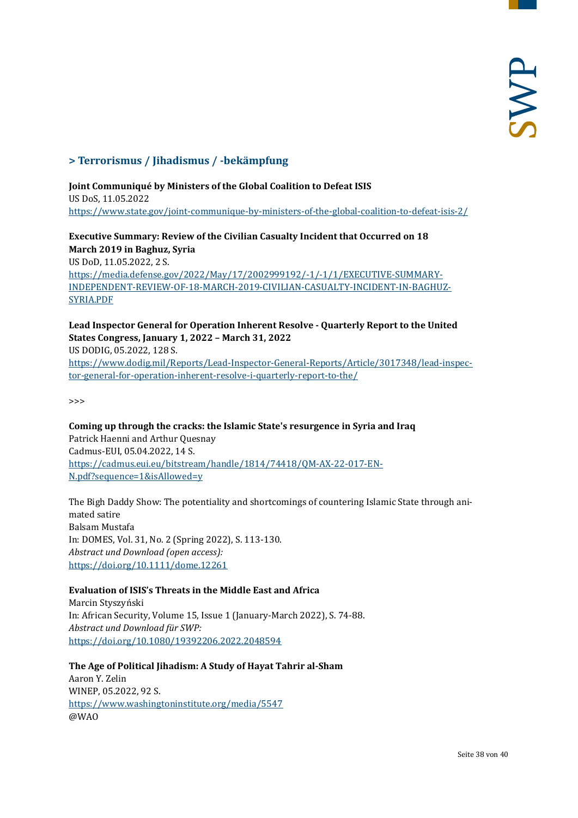## <span id="page-37-0"></span>**> Terrorismus / Jihadismus / -bekämpfung**

## **Joint Communiqué by Ministers of the Global Coalition to Defeat ISIS**

US DoS, 11.05.2022 <https://www.state.gov/joint-communique-by-ministers-of-the-global-coalition-to-defeat-isis-2/>

## **Executive Summary: Review of the Civilian Casualty Incident that Occurred on 18 March 2019 in Baghuz, Syria** US DoD, 11.05.2022, 2 S. [https://media.defense.gov/2022/May/17/2002999192/-1/-1/1/EXECUTIVE-SUMMARY-](https://media.defense.gov/2022/May/17/2002999192/-1/-1/1/EXECUTIVE-SUMMARY-INDEPENDENT-REVIEW-OF-18-MARCH-2019-CIVILIAN-CASUALTY-INCIDENT-IN-BAGHUZ-SYRIA.PDF)

[INDEPENDENT-REVIEW-OF-18-MARCH-2019-CIVILIAN-CASUALTY-INCIDENT-IN-BAGHUZ-](https://media.defense.gov/2022/May/17/2002999192/-1/-1/1/EXECUTIVE-SUMMARY-INDEPENDENT-REVIEW-OF-18-MARCH-2019-CIVILIAN-CASUALTY-INCIDENT-IN-BAGHUZ-SYRIA.PDF)[SYRIA.PDF](https://media.defense.gov/2022/May/17/2002999192/-1/-1/1/EXECUTIVE-SUMMARY-INDEPENDENT-REVIEW-OF-18-MARCH-2019-CIVILIAN-CASUALTY-INCIDENT-IN-BAGHUZ-SYRIA.PDF)

**Lead Inspector General for Operation Inherent Resolve - Quarterly Report to the United States Congress, January 1, 2022 – March 31, 2022** US DODIG, 05.2022, 128 S. [https://www.dodig.mil/Reports/Lead-Inspector-General-Reports/Article/3017348/lead-inspec](https://www.dodig.mil/Reports/Lead-Inspector-General-Reports/Article/3017348/lead-inspector-general-for-operation-inherent-resolve-i-quarterly-report-to-the/)[tor-general-for-operation-inherent-resolve-i-quarterly-report-to-the/](https://www.dodig.mil/Reports/Lead-Inspector-General-Reports/Article/3017348/lead-inspector-general-for-operation-inherent-resolve-i-quarterly-report-to-the/)

>>>

## **Coming up through the cracks: the Islamic State's resurgence in Syria and Iraq** Patrick Haenni and Arthur Quesnay Cadmus-EUI, 05.04.2022, 14 S. [https://cadmus.eui.eu/bitstream/handle/1814/74418/QM-AX-22-017-EN-](https://cadmus.eui.eu/bitstream/handle/1814/74418/QM-AX-22-017-EN-N.pdf?sequence=1&isAllowed=y)[N.pdf?sequence=1&isAllowed=y](https://cadmus.eui.eu/bitstream/handle/1814/74418/QM-AX-22-017-EN-N.pdf?sequence=1&isAllowed=y)

The Bigh Daddy Show: The potentiality and shortcomings of countering Islamic State through animated satire Balsam Mustafa In: DOMES, Vol. 31, No. 2 (Spring 2022), S. 113-130. *Abstract und Download (open access):* <https://doi.org/10.1111/dome.12261>

## **Evaluation of ISIS's Threats in the Middle East and Africa**

Marcin Styszyński In: African Security, Volume 15, Issue 1 (January-March 2022), S. 74-88. *Abstract und Download für SWP:* <https://doi.org/10.1080/19392206.2022.2048594>

**The Age of Political Jihadism: A Study of Hayat Tahrir al-Sham** Aaron Y. Zelin WINEP, 05.2022, 92 S. <https://www.washingtoninstitute.org/media/5547> @WAO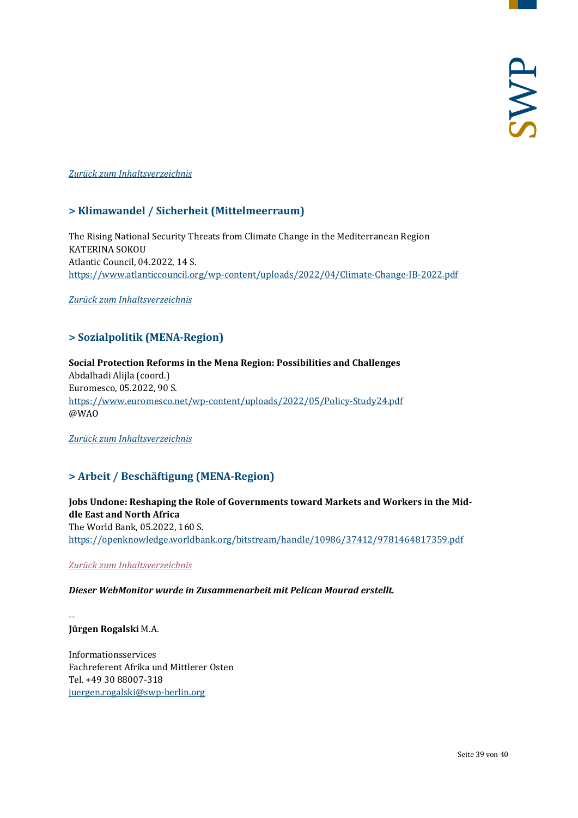#### <span id="page-38-0"></span>*[Zurück zum Inhaltsverzeichnis](#page-0-0)*

## **> Klimawandel / Sicherheit (Mittelmeerraum)**

The Rising National Security Threats from Climate Change in the Mediterranean Region KATERINA SOKOU Atlantic Council, 04.2022, 14 S. <https://www.atlanticcouncil.org/wp-content/uploads/2022/04/Climate-Change-IB-2022.pdf>

<span id="page-38-1"></span>*[Zurück zum Inhaltsverzeichnis](#page-0-0)*

## **> Sozialpolitik (MENA-Region)**

**Social Protection Reforms in the Mena Region: Possibilities and Challenges** Abdalhadi Alijla (coord.) Euromesco, 05.2022, 90 S. <https://www.euromesco.net/wp-content/uploads/2022/05/Policy-Study24.pdf> @WAO

<span id="page-38-2"></span>*[Zurück zum Inhaltsverzeichnis](#page-0-0)*

## **> Arbeit / Beschäftigung (MENA-Region)**

**Jobs Undone: Reshaping the Role of Governments toward Markets and Workers in the Middle East and North Africa** The World Bank, 05.2022, 160 S. <https://openknowledge.worldbank.org/bitstream/handle/10986/37412/9781464817359.pdf>

*[Zurück zum Inhaltsverzeichnis](#page-0-0)*

## *Dieser WebMonitor wurde in Zusammenarbeit mit Pelican Mourad erstellt.*

-- **Jürgen Rogalski** M.A.

Informationsservices Fachreferent Afrika und Mittlerer Osten Tel. +49 30 88007-318 [juergen.rogalski@swp-berlin.org](mailto:juergen.rogalski@swp-berlin.org)